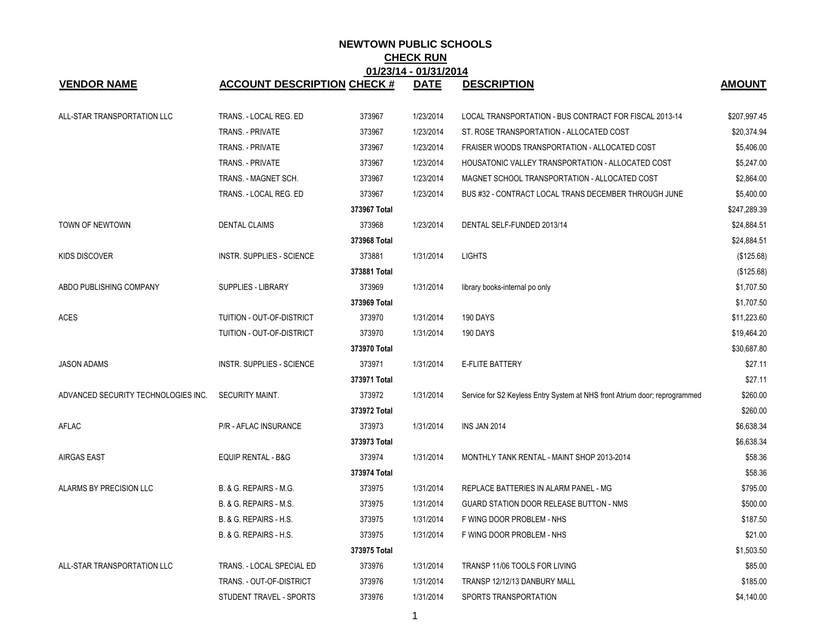| 01/23/14 - 01/31/2014               |                                    |              |             |                                                                            |               |  |  |  |
|-------------------------------------|------------------------------------|--------------|-------------|----------------------------------------------------------------------------|---------------|--|--|--|
| <b>VENDOR NAME</b>                  | <b>ACCOUNT DESCRIPTION CHECK #</b> |              | <b>DATE</b> | <b>DESCRIPTION</b>                                                         | <b>AMOUNT</b> |  |  |  |
| ALL-STAR TRANSPORTATION LLC         | TRANS. - LOCAL REG. ED             | 373967       | 1/23/2014   | LOCAL TRANSPORTATION - BUS CONTRACT FOR FISCAL 2013-14                     | \$207,997.45  |  |  |  |
|                                     | TRANS. - PRIVATE                   | 373967       | 1/23/2014   | ST. ROSE TRANSPORTATION - ALLOCATED COST                                   | \$20,374.94   |  |  |  |
|                                     | TRANS. - PRIVATE                   | 373967       | 1/23/2014   | FRAISER WOODS TRANSPORTATION - ALLOCATED COST                              | \$5,406.00    |  |  |  |
|                                     | TRANS. - PRIVATE                   | 373967       | 1/23/2014   | HOUSATONIC VALLEY TRANSPORTATION - ALLOCATED COST                          | \$5,247.00    |  |  |  |
|                                     | TRANS. - MAGNET SCH.               | 373967       | 1/23/2014   | MAGNET SCHOOL TRANSPORTATION - ALLOCATED COST                              | \$2,864.00    |  |  |  |
|                                     | TRANS. - LOCAL REG. ED             | 373967       | 1/23/2014   | BUS #32 - CONTRACT LOCAL TRANS DECEMBER THROUGH JUNE                       | \$5,400.00    |  |  |  |
|                                     |                                    | 373967 Total |             |                                                                            | \$247,289.39  |  |  |  |
| TOWN OF NEWTOWN                     | <b>DENTAL CLAIMS</b>               | 373968       | 1/23/2014   | DENTAL SELF-FUNDED 2013/14                                                 | \$24,884.51   |  |  |  |
|                                     |                                    | 373968 Total |             |                                                                            | \$24,884.51   |  |  |  |
| <b>KIDS DISCOVER</b>                | INSTR. SUPPLIES - SCIENCE          | 373881       | 1/31/2014   | <b>LIGHTS</b>                                                              | (\$125.68)    |  |  |  |
|                                     |                                    | 373881 Total |             |                                                                            | (\$125.68)    |  |  |  |
| ABDO PUBLISHING COMPANY             | <b>SUPPLIES - LIBRARY</b>          | 373969       | 1/31/2014   | library books-internal po only                                             | \$1,707.50    |  |  |  |
|                                     |                                    | 373969 Total |             |                                                                            | \$1,707.50    |  |  |  |
| <b>ACES</b>                         | TUITION - OUT-OF-DISTRICT          | 373970       | 1/31/2014   | 190 DAYS                                                                   | \$11,223.60   |  |  |  |
|                                     | TUITION - OUT-OF-DISTRICT          | 373970       | 1/31/2014   | 190 DAYS                                                                   | \$19,464.20   |  |  |  |
|                                     |                                    | 373970 Total |             |                                                                            | \$30,687.80   |  |  |  |
| <b>JASON ADAMS</b>                  | <b>INSTR. SUPPLIES - SCIENCE</b>   | 373971       | 1/31/2014   | E-FLITE BATTERY                                                            | \$27.11       |  |  |  |
|                                     |                                    | 373971 Total |             |                                                                            | \$27.11       |  |  |  |
| ADVANCED SECURITY TECHNOLOGIES INC. | SECURITY MAINT.                    | 373972       | 1/31/2014   | Service for S2 Keyless Entry System at NHS front Atrium door; reprogrammed | \$260.00      |  |  |  |
|                                     |                                    | 373972 Total |             |                                                                            | \$260.00      |  |  |  |
| AFLAC                               | P/R - AFLAC INSURANCE              | 373973       | 1/31/2014   | INS JAN 2014                                                               | \$6,638.34    |  |  |  |
|                                     |                                    | 373973 Total |             |                                                                            | \$6,638.34    |  |  |  |
| <b>AIRGAS EAST</b>                  | <b>EQUIP RENTAL - B&amp;G</b>      | 373974       | 1/31/2014   | MONTHLY TANK RENTAL - MAINT SHOP 2013-2014                                 | \$58.36       |  |  |  |
|                                     |                                    | 373974 Total |             |                                                                            | \$58.36       |  |  |  |
| ALARMS BY PRECISION LLC             | B. & G. REPAIRS - M.G.             | 373975       | 1/31/2014   | REPLACE BATTERIES IN ALARM PANEL - MG                                      | \$795.00      |  |  |  |
|                                     | B. & G. REPAIRS - M.S.             | 373975       | 1/31/2014   | GUARD STATION DOOR RELEASE BUTTON - NMS                                    | \$500.00      |  |  |  |
|                                     | B. & G. REPAIRS - H.S.             | 373975       | 1/31/2014   | F WING DOOR PROBLEM - NHS                                                  | \$187.50      |  |  |  |
|                                     | B. & G. REPAIRS - H.S.             | 373975       | 1/31/2014   | F WING DOOR PROBLEM - NHS                                                  | \$21.00       |  |  |  |
|                                     |                                    | 373975 Total |             |                                                                            | \$1,503.50    |  |  |  |
| ALL-STAR TRANSPORTATION LLC         | TRANS. - LOCAL SPECIAL ED          | 373976       | 1/31/2014   | TRANSP 11/06 TOOLS FOR LIVING                                              | \$85.00       |  |  |  |
|                                     | TRANS. - OUT-OF-DISTRICT           | 373976       | 1/31/2014   | TRANSP 12/12/13 DANBURY MALL                                               | \$185.00      |  |  |  |
|                                     | STUDENT TRAVEL - SPORTS            | 373976       | 1/31/2014   | SPORTS TRANSPORTATION                                                      | \$4,140.00    |  |  |  |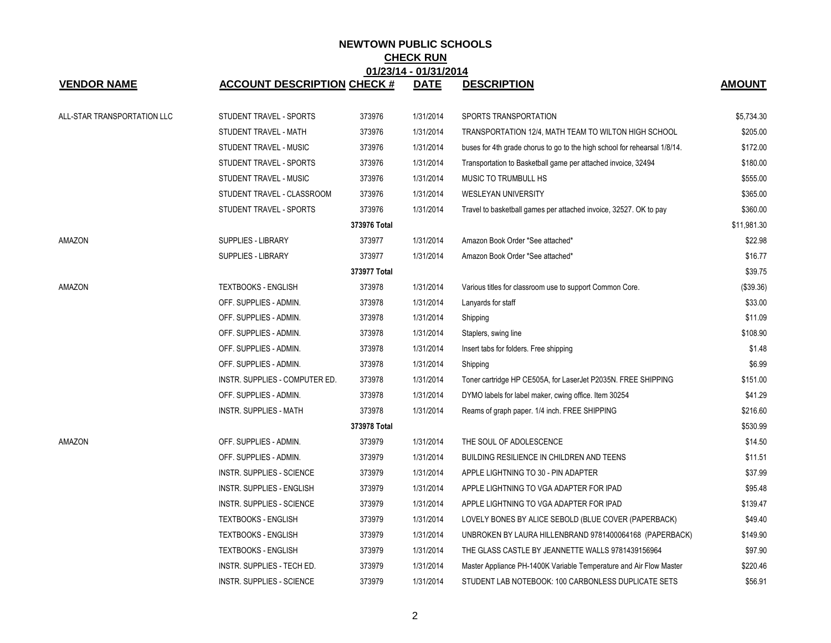| 01/23/14 - 01/31/2014       |                                    |              |             |                                                                           |               |  |  |
|-----------------------------|------------------------------------|--------------|-------------|---------------------------------------------------------------------------|---------------|--|--|
| <b>VENDOR NAME</b>          | <b>ACCOUNT DESCRIPTION CHECK #</b> |              | <b>DATE</b> | <b>DESCRIPTION</b>                                                        | <b>AMOUNT</b> |  |  |
| ALL-STAR TRANSPORTATION LLC | STUDENT TRAVEL - SPORTS            | 373976       | 1/31/2014   | SPORTS TRANSPORTATION                                                     | \$5,734.30    |  |  |
|                             | STUDENT TRAVEL - MATH              | 373976       | 1/31/2014   | TRANSPORTATION 12/4, MATH TEAM TO WILTON HIGH SCHOOL                      | \$205.00      |  |  |
|                             | STUDENT TRAVEL - MUSIC             | 373976       | 1/31/2014   | buses for 4th grade chorus to go to the high school for rehearsal 1/8/14. | \$172.00      |  |  |
|                             | STUDENT TRAVEL - SPORTS            | 373976       | 1/31/2014   | Transportation to Basketball game per attached invoice, 32494             | \$180.00      |  |  |
|                             | STUDENT TRAVEL - MUSIC             | 373976       | 1/31/2014   | MUSIC TO TRUMBULL HS                                                      | \$555.00      |  |  |
|                             | STUDENT TRAVEL - CLASSROOM         | 373976       | 1/31/2014   | <b>WESLEYAN UNIVERSITY</b>                                                | \$365.00      |  |  |
|                             | STUDENT TRAVEL - SPORTS            | 373976       | 1/31/2014   | Travel to basketball games per attached invoice, 32527. OK to pay         | \$360.00      |  |  |
|                             |                                    | 373976 Total |             |                                                                           | \$11,981.30   |  |  |
| AMAZON                      | SUPPLIES - LIBRARY                 | 373977       | 1/31/2014   | Amazon Book Order *See attached*                                          | \$22.98       |  |  |
|                             | SUPPLIES - LIBRARY                 | 373977       | 1/31/2014   | Amazon Book Order *See attached*                                          | \$16.77       |  |  |
|                             |                                    | 373977 Total |             |                                                                           | \$39.75       |  |  |
| AMAZON                      | <b>TEXTBOOKS - ENGLISH</b>         | 373978       | 1/31/2014   | Various titles for classroom use to support Common Core.                  | (\$39.36)     |  |  |
|                             | OFF. SUPPLIES - ADMIN.             | 373978       | 1/31/2014   | Lanyards for staff                                                        | \$33.00       |  |  |
|                             | OFF. SUPPLIES - ADMIN.             | 373978       | 1/31/2014   | Shipping                                                                  | \$11.09       |  |  |
|                             | OFF. SUPPLIES - ADMIN.             | 373978       | 1/31/2014   | Staplers, swing line                                                      | \$108.90      |  |  |
|                             | OFF. SUPPLIES - ADMIN.             | 373978       | 1/31/2014   | Insert tabs for folders. Free shipping                                    | \$1.48        |  |  |
|                             | OFF. SUPPLIES - ADMIN.             | 373978       | 1/31/2014   | Shipping                                                                  | \$6.99        |  |  |
|                             | INSTR. SUPPLIES - COMPUTER ED.     | 373978       | 1/31/2014   | Toner cartridge HP CE505A, for LaserJet P2035N. FREE SHIPPING             | \$151.00      |  |  |
|                             | OFF. SUPPLIES - ADMIN.             | 373978       | 1/31/2014   | DYMO labels for label maker, cwing office. Item 30254                     | \$41.29       |  |  |
|                             | <b>INSTR. SUPPLIES - MATH</b>      | 373978       | 1/31/2014   | Reams of graph paper. 1/4 inch. FREE SHIPPING                             | \$216.60      |  |  |
|                             |                                    | 373978 Total |             |                                                                           | \$530.99      |  |  |
| AMAZON                      | OFF. SUPPLIES - ADMIN.             | 373979       | 1/31/2014   | THE SOUL OF ADOLESCENCE                                                   | \$14.50       |  |  |
|                             | OFF. SUPPLIES - ADMIN.             | 373979       | 1/31/2014   | BUILDING RESILIENCE IN CHILDREN AND TEENS                                 | \$11.51       |  |  |
|                             | <b>INSTR. SUPPLIES - SCIENCE</b>   | 373979       | 1/31/2014   | APPLE LIGHTNING TO 30 - PIN ADAPTER                                       | \$37.99       |  |  |
|                             | INSTR. SUPPLIES - ENGLISH          | 373979       | 1/31/2014   | APPLE LIGHTNING TO VGA ADAPTER FOR IPAD                                   | \$95.48       |  |  |
|                             | INSTR. SUPPLIES - SCIENCE          | 373979       | 1/31/2014   | APPLE LIGHTNING TO VGA ADAPTER FOR IPAD                                   | \$139.47      |  |  |
|                             | <b>TEXTBOOKS - ENGLISH</b>         | 373979       | 1/31/2014   | LOVELY BONES BY ALICE SEBOLD (BLUE COVER (PAPERBACK)                      | \$49.40       |  |  |
|                             | <b>TEXTBOOKS - ENGLISH</b>         | 373979       | 1/31/2014   | UNBROKEN BY LAURA HILLENBRAND 9781400064168 (PAPERBACK)                   | \$149.90      |  |  |
|                             | <b>TEXTBOOKS - ENGLISH</b>         | 373979       | 1/31/2014   | THE GLASS CASTLE BY JEANNETTE WALLS 9781439156964                         | \$97.90       |  |  |
|                             | INSTR. SUPPLIES - TECH ED.         | 373979       | 1/31/2014   | Master Appliance PH-1400K Variable Temperature and Air Flow Master        | \$220.46      |  |  |
|                             | <b>INSTR. SUPPLIES - SCIENCE</b>   | 373979       | 1/31/2014   | STUDENT LAB NOTEBOOK: 100 CARBONLESS DUPLICATE SETS                       | \$56.91       |  |  |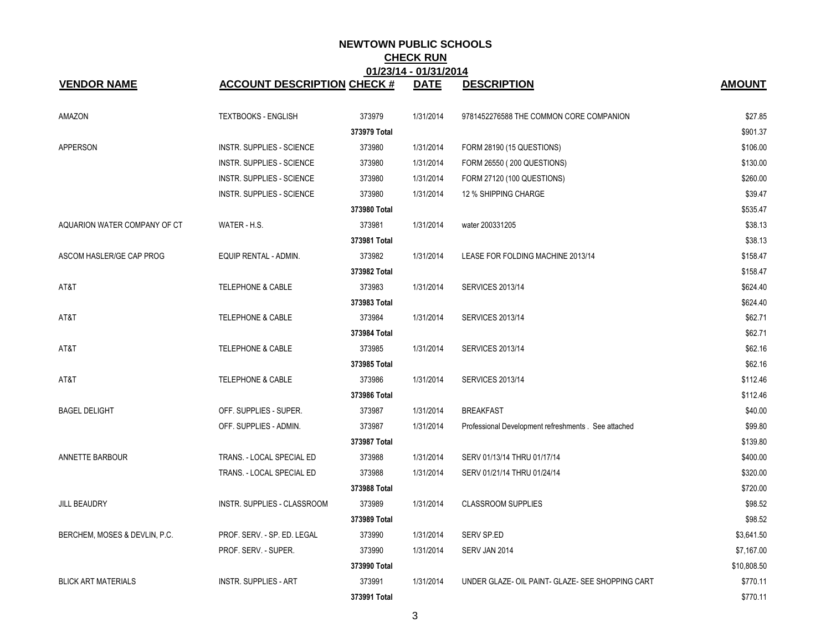| <b>VENDOR NAME</b>            | <b>ACCOUNT DESCRIPTION CHECK #</b> | <b>UIILUIT</b> | <b>VIIV-11</b><br><b>DATE</b> | <b>DESCRIPTION</b>                                   | <b>AMOUNT</b> |
|-------------------------------|------------------------------------|----------------|-------------------------------|------------------------------------------------------|---------------|
| AMAZON                        | <b>TEXTBOOKS - ENGLISH</b>         | 373979         | 1/31/2014                     | 9781452276588 THE COMMON CORE COMPANION              | \$27.85       |
|                               |                                    | 373979 Total   |                               |                                                      | \$901.37      |
| <b>APPERSON</b>               | <b>INSTR. SUPPLIES - SCIENCE</b>   | 373980         | 1/31/2014                     | FORM 28190 (15 QUESTIONS)                            | \$106.00      |
|                               | <b>INSTR. SUPPLIES - SCIENCE</b>   | 373980         | 1/31/2014                     | FORM 26550 (200 QUESTIONS)                           | \$130.00      |
|                               | <b>INSTR. SUPPLIES - SCIENCE</b>   | 373980         | 1/31/2014                     | FORM 27120 (100 QUESTIONS)                           | \$260.00      |
|                               | INSTR. SUPPLIES - SCIENCE          | 373980         | 1/31/2014                     | 12 % SHIPPING CHARGE                                 | \$39.47       |
|                               |                                    | 373980 Total   |                               |                                                      | \$535.47      |
| AQUARION WATER COMPANY OF CT  | WATER - H.S.                       | 373981         | 1/31/2014                     | water 200331205                                      | \$38.13       |
|                               |                                    | 373981 Total   |                               |                                                      | \$38.13       |
| ASCOM HASLER/GE CAP PROG      | EQUIP RENTAL - ADMIN.              | 373982         | 1/31/2014                     | LEASE FOR FOLDING MACHINE 2013/14                    | \$158.47      |
|                               |                                    | 373982 Total   |                               |                                                      | \$158.47      |
| AT&T                          | <b>TELEPHONE &amp; CABLE</b>       | 373983         | 1/31/2014                     | <b>SERVICES 2013/14</b>                              | \$624.40      |
|                               |                                    | 373983 Total   |                               |                                                      | \$624.40      |
| AT&T                          | <b>TELEPHONE &amp; CABLE</b>       | 373984         | 1/31/2014                     | <b>SERVICES 2013/14</b>                              | \$62.71       |
|                               |                                    | 373984 Total   |                               |                                                      | \$62.71       |
| AT&T                          | <b>TELEPHONE &amp; CABLE</b>       | 373985         | 1/31/2014                     | <b>SERVICES 2013/14</b>                              | \$62.16       |
|                               |                                    | 373985 Total   |                               |                                                      | \$62.16       |
| AT&T                          | <b>TELEPHONE &amp; CABLE</b>       | 373986         | 1/31/2014                     | <b>SERVICES 2013/14</b>                              | \$112.46      |
|                               |                                    | 373986 Total   |                               |                                                      | \$112.46      |
| <b>BAGEL DELIGHT</b>          | OFF. SUPPLIES - SUPER.             | 373987         | 1/31/2014                     | <b>BREAKFAST</b>                                     | \$40.00       |
|                               | OFF. SUPPLIES - ADMIN.             | 373987         | 1/31/2014                     | Professional Development refreshments . See attached | \$99.80       |
|                               |                                    | 373987 Total   |                               |                                                      | \$139.80      |
| ANNETTE BARBOUR               | TRANS. - LOCAL SPECIAL ED          | 373988         | 1/31/2014                     | SERV 01/13/14 THRU 01/17/14                          | \$400.00      |
|                               | TRANS. - LOCAL SPECIAL ED          | 373988         | 1/31/2014                     | SERV 01/21/14 THRU 01/24/14                          | \$320.00      |
|                               |                                    | 373988 Total   |                               |                                                      | \$720.00      |
| <b>JILL BEAUDRY</b>           | INSTR. SUPPLIES - CLASSROOM        | 373989         | 1/31/2014                     | <b>CLASSROOM SUPPLIES</b>                            | \$98.52       |
|                               |                                    | 373989 Total   |                               |                                                      | \$98.52       |
| BERCHEM, MOSES & DEVLIN, P.C. | PROF. SERV. - SP. ED. LEGAL        | 373990         | 1/31/2014                     | <b>SERV SP.ED</b>                                    | \$3,641.50    |
|                               | PROF. SERV. - SUPER.               | 373990         | 1/31/2014                     | SERV JAN 2014                                        | \$7,167.00    |
|                               |                                    | 373990 Total   |                               |                                                      | \$10,808.50   |
| <b>BLICK ART MATERIALS</b>    | <b>INSTR. SUPPLIES - ART</b>       | 373991         | 1/31/2014                     | UNDER GLAZE- OIL PAINT- GLAZE- SEE SHOPPING CART     | \$770.11      |
|                               |                                    | 373991 Total   |                               |                                                      | \$770.11      |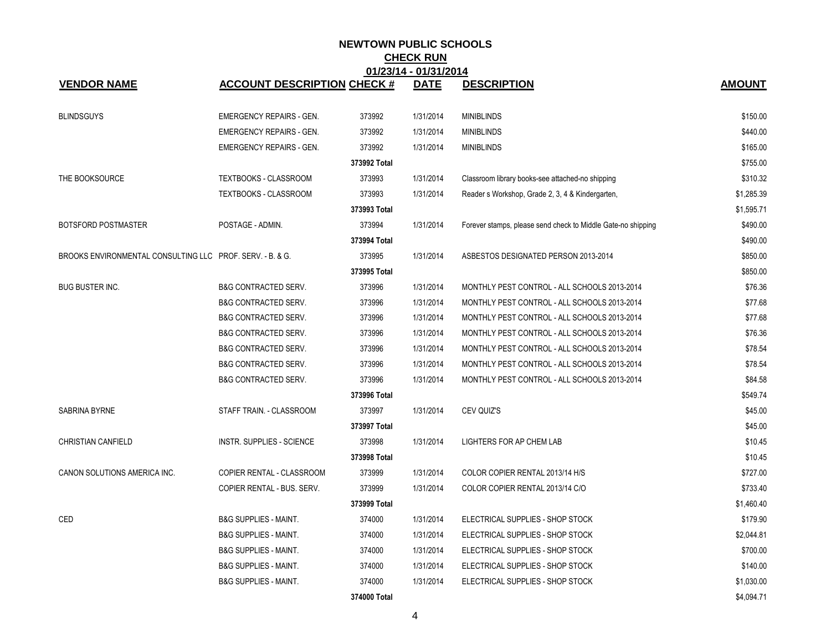|                                                           | 01/23/14 - 01/31/2014              |              |             |                                                              |               |  |  |  |
|-----------------------------------------------------------|------------------------------------|--------------|-------------|--------------------------------------------------------------|---------------|--|--|--|
| <b>VENDOR NAME</b>                                        | <b>ACCOUNT DESCRIPTION CHECK #</b> |              | <b>DATE</b> | <b>DESCRIPTION</b>                                           | <b>AMOUNT</b> |  |  |  |
| <b>BLINDSGUYS</b>                                         | <b>EMERGENCY REPAIRS - GEN.</b>    | 373992       | 1/31/2014   | <b>MINIBLINDS</b>                                            | \$150.00      |  |  |  |
|                                                           | <b>EMERGENCY REPAIRS - GEN.</b>    | 373992       | 1/31/2014   | <b>MINIBLINDS</b>                                            | \$440.00      |  |  |  |
|                                                           | <b>EMERGENCY REPAIRS - GEN.</b>    | 373992       | 1/31/2014   | <b>MINIBLINDS</b>                                            | \$165.00      |  |  |  |
|                                                           |                                    | 373992 Total |             |                                                              | \$755.00      |  |  |  |
| THE BOOKSOURCE                                            | TEXTBOOKS - CLASSROOM              | 373993       | 1/31/2014   | Classroom library books-see attached-no shipping             | \$310.32      |  |  |  |
|                                                           | TEXTBOOKS - CLASSROOM              | 373993       | 1/31/2014   | Reader s Workshop, Grade 2, 3, 4 & Kindergarten,             | \$1,285.39    |  |  |  |
|                                                           |                                    | 373993 Total |             |                                                              | \$1,595.71    |  |  |  |
| BOTSFORD POSTMASTER                                       | POSTAGE - ADMIN.                   | 373994       | 1/31/2014   | Forever stamps, please send check to Middle Gate-no shipping | \$490.00      |  |  |  |
|                                                           |                                    | 373994 Total |             |                                                              | \$490.00      |  |  |  |
| BROOKS ENVIRONMENTAL CONSULTING LLC PROF. SERV. - B. & G. |                                    | 373995       | 1/31/2014   | ASBESTOS DESIGNATED PERSON 2013-2014                         | \$850.00      |  |  |  |
|                                                           |                                    | 373995 Total |             |                                                              | \$850.00      |  |  |  |
| <b>BUG BUSTER INC.</b>                                    | <b>B&amp;G CONTRACTED SERV.</b>    | 373996       | 1/31/2014   | MONTHLY PEST CONTROL - ALL SCHOOLS 2013-2014                 | \$76.36       |  |  |  |
|                                                           | <b>B&amp;G CONTRACTED SERV.</b>    | 373996       | 1/31/2014   | MONTHLY PEST CONTROL - ALL SCHOOLS 2013-2014                 | \$77.68       |  |  |  |
|                                                           | <b>B&amp;G CONTRACTED SERV.</b>    | 373996       | 1/31/2014   | MONTHLY PEST CONTROL - ALL SCHOOLS 2013-2014                 | \$77.68       |  |  |  |
|                                                           | <b>B&amp;G CONTRACTED SERV.</b>    | 373996       | 1/31/2014   | MONTHLY PEST CONTROL - ALL SCHOOLS 2013-2014                 | \$76.36       |  |  |  |
|                                                           | <b>B&amp;G CONTRACTED SERV.</b>    | 373996       | 1/31/2014   | MONTHLY PEST CONTROL - ALL SCHOOLS 2013-2014                 | \$78.54       |  |  |  |
|                                                           | <b>B&amp;G CONTRACTED SERV.</b>    | 373996       | 1/31/2014   | MONTHLY PEST CONTROL - ALL SCHOOLS 2013-2014                 | \$78.54       |  |  |  |
|                                                           | <b>B&amp;G CONTRACTED SERV.</b>    | 373996       | 1/31/2014   | MONTHLY PEST CONTROL - ALL SCHOOLS 2013-2014                 | \$84.58       |  |  |  |
|                                                           |                                    | 373996 Total |             |                                                              | \$549.74      |  |  |  |
| SABRINA BYRNE                                             | STAFF TRAIN. - CLASSROOM           | 373997       | 1/31/2014   | CEV QUIZ'S                                                   | \$45.00       |  |  |  |
|                                                           |                                    | 373997 Total |             |                                                              | \$45.00       |  |  |  |
| <b>CHRISTIAN CANFIELD</b>                                 | INSTR. SUPPLIES - SCIENCE          | 373998       | 1/31/2014   | LIGHTERS FOR AP CHEM LAB                                     | \$10.45       |  |  |  |
|                                                           |                                    | 373998 Total |             |                                                              | \$10.45       |  |  |  |
| CANON SOLUTIONS AMERICA INC.                              | COPIER RENTAL - CLASSROOM          | 373999       | 1/31/2014   | COLOR COPIER RENTAL 2013/14 H/S                              | \$727.00      |  |  |  |
|                                                           | COPIER RENTAL - BUS. SERV.         | 373999       | 1/31/2014   | COLOR COPIER RENTAL 2013/14 C/O                              | \$733.40      |  |  |  |
|                                                           |                                    | 373999 Total |             |                                                              | \$1,460.40    |  |  |  |
| CED                                                       | <b>B&amp;G SUPPLIES - MAINT.</b>   | 374000       | 1/31/2014   | ELECTRICAL SUPPLIES - SHOP STOCK                             | \$179.90      |  |  |  |
|                                                           | <b>B&amp;G SUPPLIES - MAINT.</b>   | 374000       | 1/31/2014   | ELECTRICAL SUPPLIES - SHOP STOCK                             | \$2,044.81    |  |  |  |
|                                                           | <b>B&amp;G SUPPLIES - MAINT.</b>   | 374000       | 1/31/2014   | ELECTRICAL SUPPLIES - SHOP STOCK                             | \$700.00      |  |  |  |
|                                                           | <b>B&amp;G SUPPLIES - MAINT.</b>   | 374000       | 1/31/2014   | ELECTRICAL SUPPLIES - SHOP STOCK                             | \$140.00      |  |  |  |
|                                                           | <b>B&amp;G SUPPLIES - MAINT.</b>   | 374000       | 1/31/2014   | ELECTRICAL SUPPLIES - SHOP STOCK                             | \$1,030.00    |  |  |  |
|                                                           |                                    | 374000 Total |             |                                                              | \$4,094.71    |  |  |  |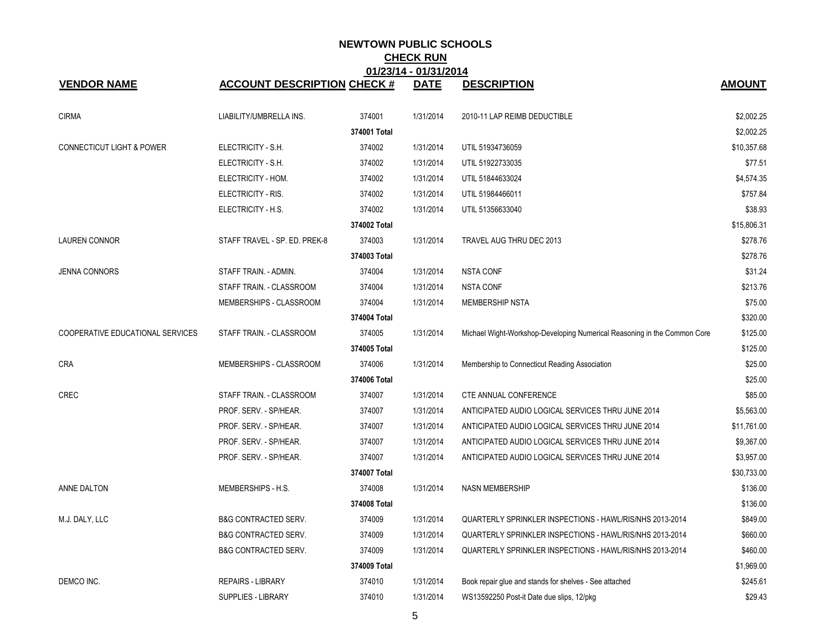|                                      | 01/23/14 - 01/31/2014              |              |             |                                                                          |               |  |  |  |
|--------------------------------------|------------------------------------|--------------|-------------|--------------------------------------------------------------------------|---------------|--|--|--|
| <b>VENDOR NAME</b>                   | <b>ACCOUNT DESCRIPTION CHECK #</b> |              | <b>DATE</b> | <b>DESCRIPTION</b>                                                       | <b>AMOUNT</b> |  |  |  |
| <b>CIRMA</b>                         | LIABILITY/UMBRELLA INS.            | 374001       | 1/31/2014   | 2010-11 LAP REIMB DEDUCTIBLE                                             | \$2,002.25    |  |  |  |
|                                      |                                    | 374001 Total |             |                                                                          | \$2,002.25    |  |  |  |
| <b>CONNECTICUT LIGHT &amp; POWER</b> | ELECTRICITY - S.H.                 | 374002       | 1/31/2014   | UTIL 51934736059                                                         | \$10,357.68   |  |  |  |
|                                      | ELECTRICITY - S.H.                 | 374002       | 1/31/2014   | UTIL 51922733035                                                         | \$77.51       |  |  |  |
|                                      | ELECTRICITY - HOM.                 | 374002       | 1/31/2014   | UTIL 51844633024                                                         | \$4,574.35    |  |  |  |
|                                      | ELECTRICITY - RIS.                 | 374002       | 1/31/2014   | UTIL 51984466011                                                         | \$757.84      |  |  |  |
|                                      | ELECTRICITY - H.S.                 | 374002       | 1/31/2014   | UTIL 51356633040                                                         | \$38.93       |  |  |  |
|                                      |                                    | 374002 Total |             |                                                                          | \$15,806.31   |  |  |  |
| <b>LAUREN CONNOR</b>                 | STAFF TRAVEL - SP. ED. PREK-8      | 374003       | 1/31/2014   | TRAVEL AUG THRU DEC 2013                                                 | \$278.76      |  |  |  |
|                                      |                                    | 374003 Total |             |                                                                          | \$278.76      |  |  |  |
| <b>JENNA CONNORS</b>                 | STAFF TRAIN. - ADMIN.              | 374004       | 1/31/2014   | <b>NSTA CONF</b>                                                         | \$31.24       |  |  |  |
|                                      | STAFF TRAIN. - CLASSROOM           | 374004       | 1/31/2014   | <b>NSTA CONF</b>                                                         | \$213.76      |  |  |  |
|                                      | MEMBERSHIPS - CLASSROOM            | 374004       | 1/31/2014   | <b>MEMBERSHIP NSTA</b>                                                   | \$75.00       |  |  |  |
|                                      |                                    | 374004 Total |             |                                                                          | \$320.00      |  |  |  |
| COOPERATIVE EDUCATIONAL SERVICES     | STAFF TRAIN. - CLASSROOM           | 374005       | 1/31/2014   | Michael Wight-Workshop-Developing Numerical Reasoning in the Common Core | \$125.00      |  |  |  |
|                                      |                                    | 374005 Total |             |                                                                          | \$125.00      |  |  |  |
| <b>CRA</b>                           | MEMBERSHIPS - CLASSROOM            | 374006       | 1/31/2014   | Membership to Connecticut Reading Association                            | \$25.00       |  |  |  |
|                                      |                                    | 374006 Total |             |                                                                          | \$25.00       |  |  |  |
| <b>CREC</b>                          | STAFF TRAIN. - CLASSROOM           | 374007       | 1/31/2014   | CTE ANNUAL CONFERENCE                                                    | \$85.00       |  |  |  |
|                                      | PROF. SERV. - SP/HEAR.             | 374007       | 1/31/2014   | ANTICIPATED AUDIO LOGICAL SERVICES THRU JUNE 2014                        | \$5,563.00    |  |  |  |
|                                      | PROF. SERV. - SP/HEAR.             | 374007       | 1/31/2014   | ANTICIPATED AUDIO LOGICAL SERVICES THRU JUNE 2014                        | \$11,761.00   |  |  |  |
|                                      | PROF. SERV. - SP/HEAR.             | 374007       | 1/31/2014   | ANTICIPATED AUDIO LOGICAL SERVICES THRU JUNE 2014                        | \$9,367.00    |  |  |  |
|                                      | PROF. SERV. - SP/HEAR.             | 374007       | 1/31/2014   | ANTICIPATED AUDIO LOGICAL SERVICES THRU JUNE 2014                        | \$3,957.00    |  |  |  |
|                                      |                                    | 374007 Total |             |                                                                          | \$30,733.00   |  |  |  |
| ANNE DALTON                          | MEMBERSHIPS - H.S.                 | 374008       | 1/31/2014   | <b>NASN MEMBERSHIP</b>                                                   | \$136.00      |  |  |  |
|                                      |                                    | 374008 Total |             |                                                                          | \$136.00      |  |  |  |
| M.J. DALY, LLC                       | <b>B&amp;G CONTRACTED SERV.</b>    | 374009       | 1/31/2014   | QUARTERLY SPRINKLER INSPECTIONS - HAWL/RIS/NHS 2013-2014                 | \$849.00      |  |  |  |
|                                      | <b>B&amp;G CONTRACTED SERV.</b>    | 374009       | 1/31/2014   | QUARTERLY SPRINKLER INSPECTIONS - HAWL/RIS/NHS 2013-2014                 | \$660.00      |  |  |  |
|                                      | <b>B&amp;G CONTRACTED SERV.</b>    | 374009       | 1/31/2014   | QUARTERLY SPRINKLER INSPECTIONS - HAWL/RIS/NHS 2013-2014                 | \$460.00      |  |  |  |
|                                      |                                    | 374009 Total |             |                                                                          | \$1,969.00    |  |  |  |
| DEMCO INC.                           | <b>REPAIRS - LIBRARY</b>           | 374010       | 1/31/2014   | Book repair glue and stands for shelves - See attached                   | \$245.61      |  |  |  |
|                                      | <b>SUPPLIES - LIBRARY</b>          | 374010       | 1/31/2014   | WS13592250 Post-it Date due slips, 12/pkg                                | \$29.43       |  |  |  |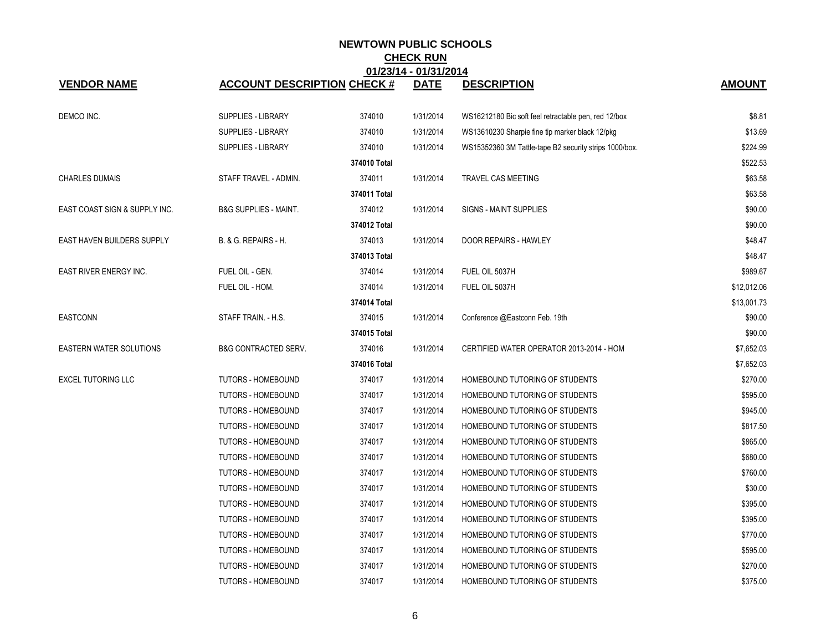|                                | 01/23/14 - 01/31/2014              |              |             |                                                        |               |  |  |  |
|--------------------------------|------------------------------------|--------------|-------------|--------------------------------------------------------|---------------|--|--|--|
| <b>VENDOR NAME</b>             | <b>ACCOUNT DESCRIPTION CHECK #</b> |              | <b>DATE</b> | <b>DESCRIPTION</b>                                     | <b>AMOUNT</b> |  |  |  |
| DEMCO INC.                     | <b>SUPPLIES - LIBRARY</b>          | 374010       | 1/31/2014   | WS16212180 Bic soft feel retractable pen, red 12/box   | \$8.81        |  |  |  |
|                                | <b>SUPPLIES - LIBRARY</b>          | 374010       | 1/31/2014   | WS13610230 Sharpie fine tip marker black 12/pkg        | \$13.69       |  |  |  |
|                                | <b>SUPPLIES - LIBRARY</b>          | 374010       | 1/31/2014   | WS15352360 3M Tattle-tape B2 security strips 1000/box. | \$224.99      |  |  |  |
|                                |                                    | 374010 Total |             |                                                        | \$522.53      |  |  |  |
| <b>CHARLES DUMAIS</b>          | STAFF TRAVEL - ADMIN.              | 374011       | 1/31/2014   | TRAVEL CAS MEETING                                     | \$63.58       |  |  |  |
|                                |                                    | 374011 Total |             |                                                        | \$63.58       |  |  |  |
| EAST COAST SIGN & SUPPLY INC.  | <b>B&amp;G SUPPLIES - MAINT.</b>   | 374012       | 1/31/2014   | <b>SIGNS - MAINT SUPPLIES</b>                          | \$90.00       |  |  |  |
|                                |                                    | 374012 Total |             |                                                        | \$90.00       |  |  |  |
| EAST HAVEN BUILDERS SUPPLY     | B. & G. REPAIRS - H.               | 374013       | 1/31/2014   | DOOR REPAIRS - HAWLEY                                  | \$48.47       |  |  |  |
|                                |                                    | 374013 Total |             |                                                        | \$48.47       |  |  |  |
| EAST RIVER ENERGY INC.         | FUEL OIL - GEN.                    | 374014       | 1/31/2014   | FUEL OIL 5037H                                         | \$989.67      |  |  |  |
|                                | FUEL OIL - HOM.                    | 374014       | 1/31/2014   | FUEL OIL 5037H                                         | \$12,012.06   |  |  |  |
|                                |                                    | 374014 Total |             |                                                        | \$13,001.73   |  |  |  |
| <b>EASTCONN</b>                | STAFF TRAIN - H.S.                 | 374015       | 1/31/2014   | Conference @Eastconn Feb. 19th                         | \$90.00       |  |  |  |
|                                |                                    | 374015 Total |             |                                                        | \$90.00       |  |  |  |
| <b>EASTERN WATER SOLUTIONS</b> | <b>B&amp;G CONTRACTED SERV.</b>    | 374016       | 1/31/2014   | CERTIFIED WATER OPERATOR 2013-2014 - HOM               | \$7,652.03    |  |  |  |
|                                |                                    | 374016 Total |             |                                                        | \$7,652.03    |  |  |  |
| <b>EXCEL TUTORING LLC</b>      | <b>TUTORS - HOMEBOUND</b>          | 374017       | 1/31/2014   | HOMEBOUND TUTORING OF STUDENTS                         | \$270.00      |  |  |  |
|                                | <b>TUTORS - HOMEBOUND</b>          | 374017       | 1/31/2014   | HOMEBOUND TUTORING OF STUDENTS                         | \$595.00      |  |  |  |
|                                | <b>TUTORS - HOMEBOUND</b>          | 374017       | 1/31/2014   | HOMEBOUND TUTORING OF STUDENTS                         | \$945.00      |  |  |  |
|                                | <b>TUTORS - HOMEBOUND</b>          | 374017       | 1/31/2014   | HOMEBOUND TUTORING OF STUDENTS                         | \$817.50      |  |  |  |
|                                | <b>TUTORS - HOMEBOUND</b>          | 374017       | 1/31/2014   | HOMEBOUND TUTORING OF STUDENTS                         | \$865.00      |  |  |  |
|                                | <b>TUTORS - HOMEBOUND</b>          | 374017       | 1/31/2014   | HOMEBOUND TUTORING OF STUDENTS                         | \$680.00      |  |  |  |
|                                | <b>TUTORS - HOMEBOUND</b>          | 374017       | 1/31/2014   | HOMEBOUND TUTORING OF STUDENTS                         | \$760.00      |  |  |  |
|                                | <b>TUTORS - HOMEBOUND</b>          | 374017       | 1/31/2014   | HOMEBOUND TUTORING OF STUDENTS                         | \$30.00       |  |  |  |
|                                | <b>TUTORS - HOMEBOUND</b>          | 374017       | 1/31/2014   | HOMEBOUND TUTORING OF STUDENTS                         | \$395.00      |  |  |  |
|                                | <b>TUTORS - HOMEBOUND</b>          | 374017       | 1/31/2014   | HOMEBOUND TUTORING OF STUDENTS                         | \$395.00      |  |  |  |
|                                | <b>TUTORS - HOMEBOUND</b>          | 374017       | 1/31/2014   | HOMEBOUND TUTORING OF STUDENTS                         | \$770.00      |  |  |  |
|                                | <b>TUTORS - HOMEBOUND</b>          | 374017       | 1/31/2014   | HOMEBOUND TUTORING OF STUDENTS                         | \$595.00      |  |  |  |
|                                | <b>TUTORS - HOMEBOUND</b>          | 374017       | 1/31/2014   | HOMEBOUND TUTORING OF STUDENTS                         | \$270.00      |  |  |  |
|                                | <b>TUTORS - HOMEBOUND</b>          | 374017       | 1/31/2014   | HOMEBOUND TUTORING OF STUDENTS                         | \$375.00      |  |  |  |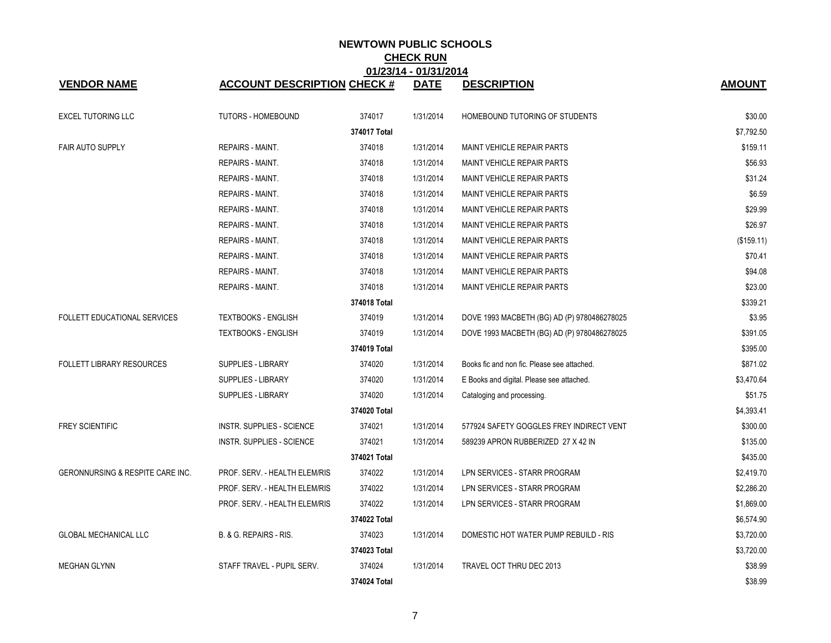|                                             |                                    |              | 01/23/14 - 01/31/2014 |                                             |               |
|---------------------------------------------|------------------------------------|--------------|-----------------------|---------------------------------------------|---------------|
| <b>VENDOR NAME</b>                          | <b>ACCOUNT DESCRIPTION CHECK #</b> |              | <b>DATE</b>           | <b>DESCRIPTION</b>                          | <b>AMOUNT</b> |
| <b>EXCEL TUTORING LLC</b>                   | <b>TUTORS - HOMEBOUND</b>          | 374017       | 1/31/2014             | HOMEBOUND TUTORING OF STUDENTS              | \$30.00       |
|                                             |                                    | 374017 Total |                       |                                             | \$7,792.50    |
| <b>FAIR AUTO SUPPLY</b>                     | <b>REPAIRS - MAINT.</b>            | 374018       | 1/31/2014             | MAINT VEHICLE REPAIR PARTS                  | \$159.11      |
|                                             | <b>REPAIRS - MAINT.</b>            | 374018       | 1/31/2014             | <b>MAINT VEHICLE REPAIR PARTS</b>           | \$56.93       |
|                                             | <b>REPAIRS - MAINT.</b>            | 374018       | 1/31/2014             | MAINT VEHICLE REPAIR PARTS                  | \$31.24       |
|                                             | <b>REPAIRS - MAINT.</b>            | 374018       | 1/31/2014             | MAINT VEHICLE REPAIR PARTS                  | \$6.59        |
|                                             | <b>REPAIRS - MAINT.</b>            | 374018       | 1/31/2014             | <b>MAINT VEHICLE REPAIR PARTS</b>           | \$29.99       |
|                                             | <b>REPAIRS - MAINT.</b>            | 374018       | 1/31/2014             | MAINT VEHICLE REPAIR PARTS                  | \$26.97       |
|                                             | REPAIRS - MAINT.                   | 374018       | 1/31/2014             | <b>MAINT VEHICLE REPAIR PARTS</b>           | (\$159.11)    |
|                                             | <b>REPAIRS - MAINT.</b>            | 374018       | 1/31/2014             | MAINT VEHICLE REPAIR PARTS                  | \$70.41       |
|                                             | REPAIRS - MAINT.                   | 374018       | 1/31/2014             | <b>MAINT VEHICLE REPAIR PARTS</b>           | \$94.08       |
|                                             | <b>REPAIRS - MAINT.</b>            | 374018       | 1/31/2014             | MAINT VEHICLE REPAIR PARTS                  | \$23.00       |
|                                             |                                    | 374018 Total |                       |                                             | \$339.21      |
| FOLLETT EDUCATIONAL SERVICES                | <b>TEXTBOOKS - ENGLISH</b>         | 374019       | 1/31/2014             | DOVE 1993 MACBETH (BG) AD (P) 9780486278025 | \$3.95        |
|                                             | <b>TEXTBOOKS - ENGLISH</b>         | 374019       | 1/31/2014             | DOVE 1993 MACBETH (BG) AD (P) 9780486278025 | \$391.05      |
|                                             |                                    | 374019 Total |                       |                                             | \$395.00      |
| <b>FOLLETT LIBRARY RESOURCES</b>            | SUPPLIES - LIBRARY                 | 374020       | 1/31/2014             | Books fic and non fic. Please see attached. | \$871.02      |
|                                             | <b>SUPPLIES - LIBRARY</b>          | 374020       | 1/31/2014             | E Books and digital. Please see attached.   | \$3,470.64    |
|                                             | <b>SUPPLIES - LIBRARY</b>          | 374020       | 1/31/2014             | Cataloging and processing.                  | \$51.75       |
|                                             |                                    | 374020 Total |                       |                                             | \$4,393.41    |
| <b>FREY SCIENTIFIC</b>                      | INSTR. SUPPLIES - SCIENCE          | 374021       | 1/31/2014             | 577924 SAFETY GOGGLES FREY INDIRECT VENT    | \$300.00      |
|                                             | INSTR. SUPPLIES - SCIENCE          | 374021       | 1/31/2014             | 589239 APRON RUBBERIZED 27 X 42 IN          | \$135.00      |
|                                             |                                    | 374021 Total |                       |                                             | \$435.00      |
| <b>GERONNURSING &amp; RESPITE CARE INC.</b> | PROF. SERV. - HEALTH ELEM/RIS      | 374022       | 1/31/2014             | LPN SERVICES - STARR PROGRAM                | \$2,419.70    |
|                                             | PROF. SERV. - HEALTH ELEM/RIS      | 374022       | 1/31/2014             | LPN SERVICES - STARR PROGRAM                | \$2,286.20    |
|                                             | PROF. SERV. - HEALTH ELEM/RIS      | 374022       | 1/31/2014             | LPN SERVICES - STARR PROGRAM                | \$1,869.00    |
|                                             |                                    | 374022 Total |                       |                                             | \$6,574.90    |
| <b>GLOBAL MECHANICAL LLC</b>                | B. & G. REPAIRS - RIS.             | 374023       | 1/31/2014             | DOMESTIC HOT WATER PUMP REBUILD - RIS       | \$3,720.00    |
|                                             |                                    | 374023 Total |                       |                                             | \$3,720.00    |
| <b>MEGHAN GLYNN</b>                         | STAFF TRAVEL - PUPIL SERV.         | 374024       | 1/31/2014             | TRAVEL OCT THRU DEC 2013                    | \$38.99       |
|                                             |                                    | 374024 Total |                       |                                             | \$38.99       |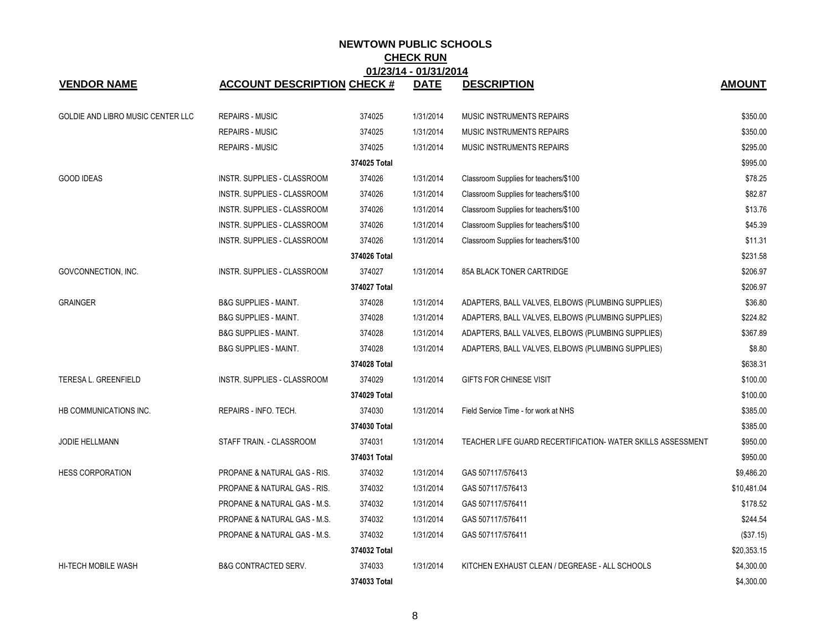|                                   |                                    |              | 01/23/14 - 01/31/2014 |                                                             |               |
|-----------------------------------|------------------------------------|--------------|-----------------------|-------------------------------------------------------------|---------------|
| <b>VENDOR NAME</b>                | <b>ACCOUNT DESCRIPTION CHECK #</b> |              | <b>DATE</b>           | <b>DESCRIPTION</b>                                          | <b>AMOUNT</b> |
| GOLDIE AND LIBRO MUSIC CENTER LLC | <b>REPAIRS - MUSIC</b>             | 374025       | 1/31/2014             | MUSIC INSTRUMENTS REPAIRS                                   | \$350.00      |
|                                   | <b>REPAIRS - MUSIC</b>             | 374025       | 1/31/2014             | <b>MUSIC INSTRUMENTS REPAIRS</b>                            | \$350.00      |
|                                   | <b>REPAIRS - MUSIC</b>             | 374025       | 1/31/2014             | <b>MUSIC INSTRUMENTS REPAIRS</b>                            | \$295.00      |
|                                   |                                    | 374025 Total |                       |                                                             | \$995.00      |
| <b>GOOD IDEAS</b>                 | INSTR. SUPPLIES - CLASSROOM        | 374026       | 1/31/2014             | Classroom Supplies for teachers/\$100                       | \$78.25       |
|                                   | INSTR. SUPPLIES - CLASSROOM        | 374026       | 1/31/2014             | Classroom Supplies for teachers/\$100                       | \$82.87       |
|                                   | INSTR. SUPPLIES - CLASSROOM        | 374026       | 1/31/2014             | Classroom Supplies for teachers/\$100                       | \$13.76       |
|                                   | INSTR. SUPPLIES - CLASSROOM        | 374026       | 1/31/2014             | Classroom Supplies for teachers/\$100                       | \$45.39       |
|                                   | INSTR. SUPPLIES - CLASSROOM        | 374026       | 1/31/2014             | Classroom Supplies for teachers/\$100                       | \$11.31       |
|                                   |                                    | 374026 Total |                       |                                                             | \$231.58      |
| GOVCONNECTION, INC.               | INSTR. SUPPLIES - CLASSROOM        | 374027       | 1/31/2014             | 85A BLACK TONER CARTRIDGE                                   | \$206.97      |
|                                   |                                    | 374027 Total |                       |                                                             | \$206.97      |
| <b>GRAINGER</b>                   | <b>B&amp;G SUPPLIES - MAINT.</b>   | 374028       | 1/31/2014             | ADAPTERS, BALL VALVES, ELBOWS (PLUMBING SUPPLIES)           | \$36.80       |
|                                   | <b>B&amp;G SUPPLIES - MAINT.</b>   | 374028       | 1/31/2014             | ADAPTERS, BALL VALVES, ELBOWS (PLUMBING SUPPLIES)           | \$224.82      |
|                                   | <b>B&amp;G SUPPLIES - MAINT.</b>   | 374028       | 1/31/2014             | ADAPTERS, BALL VALVES, ELBOWS (PLUMBING SUPPLIES)           | \$367.89      |
|                                   | <b>B&amp;G SUPPLIES - MAINT.</b>   | 374028       | 1/31/2014             | ADAPTERS, BALL VALVES, ELBOWS (PLUMBING SUPPLIES)           | \$8.80        |
|                                   |                                    | 374028 Total |                       |                                                             | \$638.31      |
| <b>TERESA L. GREENFIELD</b>       | INSTR. SUPPLIES - CLASSROOM        | 374029       | 1/31/2014             | GIFTS FOR CHINESE VISIT                                     | \$100.00      |
|                                   |                                    | 374029 Total |                       |                                                             | \$100.00      |
| HB COMMUNICATIONS INC.            | REPAIRS - INFO. TECH.              | 374030       | 1/31/2014             | Field Service Time - for work at NHS                        | \$385.00      |
|                                   |                                    | 374030 Total |                       |                                                             | \$385.00      |
| JODIE HELLMANN                    | STAFF TRAIN. - CLASSROOM           | 374031       | 1/31/2014             | TEACHER LIFE GUARD RECERTIFICATION- WATER SKILLS ASSESSMENT | \$950.00      |
|                                   |                                    | 374031 Total |                       |                                                             | \$950.00      |
| <b>HESS CORPORATION</b>           | PROPANE & NATURAL GAS - RIS.       | 374032       | 1/31/2014             | GAS 507117/576413                                           | \$9,486.20    |
|                                   | PROPANE & NATURAL GAS - RIS.       | 374032       | 1/31/2014             | GAS 507117/576413                                           | \$10,481.04   |
|                                   | PROPANE & NATURAL GAS - M.S.       | 374032       | 1/31/2014             | GAS 507117/576411                                           | \$178.52      |
|                                   | PROPANE & NATURAL GAS - M.S.       | 374032       | 1/31/2014             | GAS 507117/576411                                           | \$244.54      |
|                                   | PROPANE & NATURAL GAS - M.S.       | 374032       | 1/31/2014             | GAS 507117/576411                                           | (\$37.15)     |
|                                   |                                    | 374032 Total |                       |                                                             | \$20,353.15   |
| <b>HI-TECH MOBILE WASH</b>        | <b>B&amp;G CONTRACTED SERV.</b>    | 374033       | 1/31/2014             | KITCHEN EXHAUST CLEAN / DEGREASE - ALL SCHOOLS              | \$4,300.00    |
|                                   |                                    | 374033 Total |                       |                                                             | \$4,300.00    |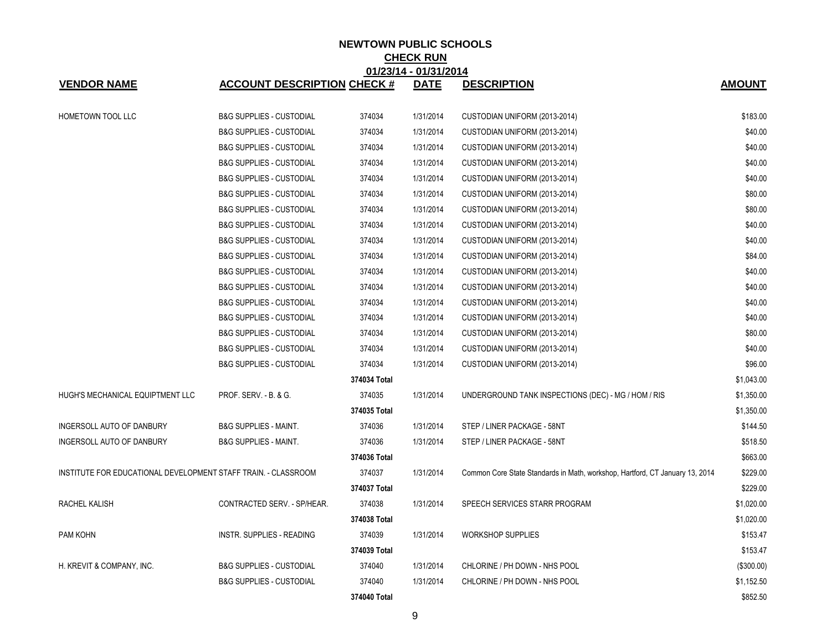|                                                                |                                     |              | 01/23/14 - 01/31/2014 |                                                                              |               |
|----------------------------------------------------------------|-------------------------------------|--------------|-----------------------|------------------------------------------------------------------------------|---------------|
| <b>VENDOR NAME</b>                                             | <b>ACCOUNT DESCRIPTION CHECK #</b>  |              | <b>DATE</b>           | <b>DESCRIPTION</b>                                                           | <b>AMOUNT</b> |
| <b>HOMETOWN TOOL LLC</b>                                       | <b>B&amp;G SUPPLIES - CUSTODIAL</b> | 374034       | 1/31/2014             | CUSTODIAN UNIFORM (2013-2014)                                                | \$183.00      |
|                                                                | <b>B&amp;G SUPPLIES - CUSTODIAL</b> | 374034       | 1/31/2014             | CUSTODIAN UNIFORM (2013-2014)                                                | \$40.00       |
|                                                                | <b>B&amp;G SUPPLIES - CUSTODIAL</b> | 374034       | 1/31/2014             | CUSTODIAN UNIFORM (2013-2014)                                                | \$40.00       |
|                                                                | <b>B&amp;G SUPPLIES - CUSTODIAL</b> | 374034       | 1/31/2014             | CUSTODIAN UNIFORM (2013-2014)                                                | \$40.00       |
|                                                                | <b>B&amp;G SUPPLIES - CUSTODIAL</b> | 374034       | 1/31/2014             | CUSTODIAN UNIFORM (2013-2014)                                                | \$40.00       |
|                                                                | <b>B&amp;G SUPPLIES - CUSTODIAL</b> | 374034       | 1/31/2014             | CUSTODIAN UNIFORM (2013-2014)                                                | \$80.00       |
|                                                                | <b>B&amp;G SUPPLIES - CUSTODIAL</b> | 374034       | 1/31/2014             | CUSTODIAN UNIFORM (2013-2014)                                                | \$80.00       |
|                                                                | <b>B&amp;G SUPPLIES - CUSTODIAL</b> | 374034       | 1/31/2014             | CUSTODIAN UNIFORM (2013-2014)                                                | \$40.00       |
|                                                                | <b>B&amp;G SUPPLIES - CUSTODIAL</b> | 374034       | 1/31/2014             | CUSTODIAN UNIFORM (2013-2014)                                                | \$40.00       |
|                                                                | <b>B&amp;G SUPPLIES - CUSTODIAL</b> | 374034       | 1/31/2014             | CUSTODIAN UNIFORM (2013-2014)                                                | \$84.00       |
|                                                                | <b>B&amp;G SUPPLIES - CUSTODIAL</b> | 374034       | 1/31/2014             | CUSTODIAN UNIFORM (2013-2014)                                                | \$40.00       |
|                                                                | <b>B&amp;G SUPPLIES - CUSTODIAL</b> | 374034       | 1/31/2014             | CUSTODIAN UNIFORM (2013-2014)                                                | \$40.00       |
|                                                                | <b>B&amp;G SUPPLIES - CUSTODIAL</b> | 374034       | 1/31/2014             | CUSTODIAN UNIFORM (2013-2014)                                                | \$40.00       |
|                                                                | <b>B&amp;G SUPPLIES - CUSTODIAL</b> | 374034       | 1/31/2014             | CUSTODIAN UNIFORM (2013-2014)                                                | \$40.00       |
|                                                                | <b>B&amp;G SUPPLIES - CUSTODIAL</b> | 374034       | 1/31/2014             | CUSTODIAN UNIFORM (2013-2014)                                                | \$80.00       |
|                                                                | <b>B&amp;G SUPPLIES - CUSTODIAL</b> | 374034       | 1/31/2014             | CUSTODIAN UNIFORM (2013-2014)                                                | \$40.00       |
|                                                                | <b>B&amp;G SUPPLIES - CUSTODIAL</b> | 374034       | 1/31/2014             | CUSTODIAN UNIFORM (2013-2014)                                                | \$96.00       |
|                                                                |                                     | 374034 Total |                       |                                                                              | \$1,043.00    |
| HUGH'S MECHANICAL EQUIPTMENT LLC                               | PROF. SERV. - B. & G.               | 374035       | 1/31/2014             | UNDERGROUND TANK INSPECTIONS (DEC) - MG / HOM / RIS                          | \$1,350.00    |
|                                                                |                                     | 374035 Total |                       |                                                                              | \$1,350.00    |
| INGERSOLL AUTO OF DANBURY                                      | <b>B&amp;G SUPPLIES - MAINT.</b>    | 374036       | 1/31/2014             | STEP / LINER PACKAGE - 58NT                                                  | \$144.50      |
| INGERSOLL AUTO OF DANBURY                                      | <b>B&amp;G SUPPLIES - MAINT.</b>    | 374036       | 1/31/2014             | STEP / LINER PACKAGE - 58NT                                                  | \$518.50      |
|                                                                |                                     | 374036 Total |                       |                                                                              | \$663.00      |
| INSTITUTE FOR EDUCATIONAL DEVELOPMENT STAFF TRAIN. - CLASSROOM |                                     | 374037       | 1/31/2014             | Common Core State Standards in Math, workshop, Hartford, CT January 13, 2014 | \$229.00      |
|                                                                |                                     | 374037 Total |                       |                                                                              | \$229.00      |
| RACHEL KALISH                                                  | CONTRACTED SERV. - SP/HEAR.         | 374038       | 1/31/2014             | SPEECH SERVICES STARR PROGRAM                                                | \$1,020.00    |
|                                                                |                                     | 374038 Total |                       |                                                                              | \$1,020.00    |
| PAM KOHN                                                       | INSTR. SUPPLIES - READING           | 374039       | 1/31/2014             | <b>WORKSHOP SUPPLIES</b>                                                     | \$153.47      |
|                                                                |                                     | 374039 Total |                       |                                                                              | \$153.47      |
| H. KREVIT & COMPANY, INC.                                      | <b>B&amp;G SUPPLIES - CUSTODIAL</b> | 374040       | 1/31/2014             | CHLORINE / PH DOWN - NHS POOL                                                | ( \$300.00]   |
|                                                                | <b>B&amp;G SUPPLIES - CUSTODIAL</b> | 374040       | 1/31/2014             | CHLORINE / PH DOWN - NHS POOL                                                | \$1,152.50    |
|                                                                |                                     | 374040 Total |                       |                                                                              | \$852.50      |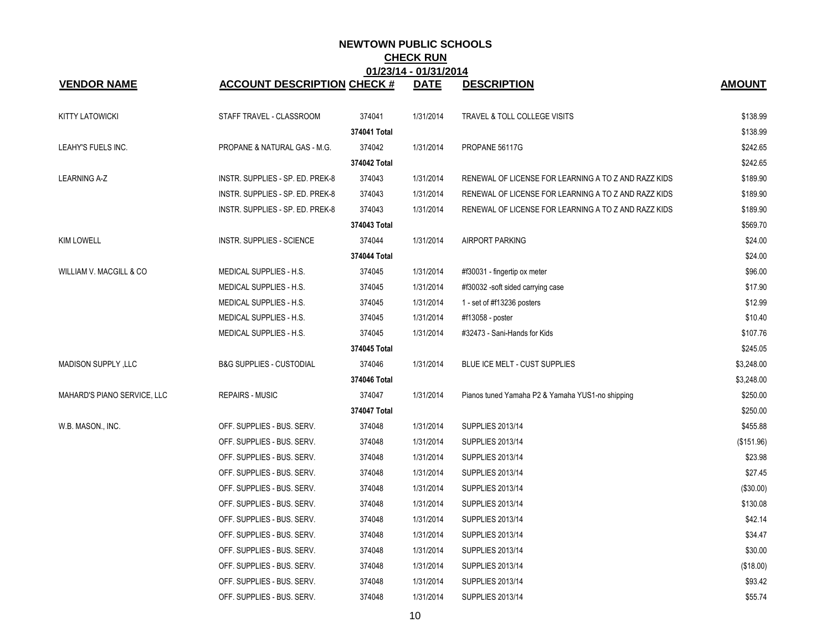|                             |                                     |              | 01123114 - 0113112014 |                                                      |               |
|-----------------------------|-------------------------------------|--------------|-----------------------|------------------------------------------------------|---------------|
| <b>VENDOR NAME</b>          | <b>ACCOUNT DESCRIPTION CHECK #</b>  |              | <b>DATE</b>           | <b>DESCRIPTION</b>                                   | <b>AMOUNT</b> |
| <b>KITTY LATOWICKI</b>      | STAFF TRAVEL - CLASSROOM            | 374041       | 1/31/2014             | TRAVEL & TOLL COLLEGE VISITS                         | \$138.99      |
|                             |                                     | 374041 Total |                       |                                                      | \$138.99      |
| LEAHY'S FUELS INC.          | PROPANE & NATURAL GAS - M.G.        | 374042       | 1/31/2014             | PROPANE 56117G                                       | \$242.65      |
|                             |                                     | 374042 Total |                       |                                                      | \$242.65      |
| <b>LEARNING A-Z</b>         | INSTR. SUPPLIES - SP. ED. PREK-8    | 374043       | 1/31/2014             | RENEWAL OF LICENSE FOR LEARNING A TO Z AND RAZZ KIDS | \$189.90      |
|                             | INSTR. SUPPLIES - SP. ED. PREK-8    | 374043       | 1/31/2014             | RENEWAL OF LICENSE FOR LEARNING A TO Z AND RAZZ KIDS | \$189.90      |
|                             | INSTR. SUPPLIES - SP. ED. PREK-8    | 374043       | 1/31/2014             | RENEWAL OF LICENSE FOR LEARNING A TO Z AND RAZZ KIDS | \$189.90      |
|                             |                                     | 374043 Total |                       |                                                      | \$569.70      |
| <b>KIM LOWELL</b>           | <b>INSTR. SUPPLIES - SCIENCE</b>    | 374044       | 1/31/2014             | AIRPORT PARKING                                      | \$24.00       |
|                             |                                     | 374044 Total |                       |                                                      | \$24.00       |
| WILLIAM V. MACGILL & CO     | MEDICAL SUPPLIES - H.S.             | 374045       | 1/31/2014             | #f30031 - fingertip ox meter                         | \$96.00       |
|                             | MEDICAL SUPPLIES - H.S.             | 374045       | 1/31/2014             | #f30032 -soft sided carrying case                    | \$17.90       |
|                             | MEDICAL SUPPLIES - H.S.             | 374045       | 1/31/2014             | 1 - set of #f13236 posters                           | \$12.99       |
|                             | MEDICAL SUPPLIES - H.S.             | 374045       | 1/31/2014             | #f13058 - poster                                     | \$10.40       |
|                             | MEDICAL SUPPLIES - H.S.             | 374045       | 1/31/2014             | #32473 - Sani-Hands for Kids                         | \$107.76      |
|                             |                                     | 374045 Total |                       |                                                      | \$245.05      |
| MADISON SUPPLY, LLC         | <b>B&amp;G SUPPLIES - CUSTODIAL</b> | 374046       | 1/31/2014             | BLUE ICE MELT - CUST SUPPLIES                        | \$3,248.00    |
|                             |                                     | 374046 Total |                       |                                                      | \$3,248.00    |
| MAHARD'S PIANO SERVICE, LLC | <b>REPAIRS - MUSIC</b>              | 374047       | 1/31/2014             | Pianos tuned Yamaha P2 & Yamaha YUS1-no shipping     | \$250.00      |
|                             |                                     | 374047 Total |                       |                                                      | \$250.00      |
| W.B. MASON., INC.           | OFF. SUPPLIES - BUS. SERV.          | 374048       | 1/31/2014             | <b>SUPPLIES 2013/14</b>                              | \$455.88      |
|                             | OFF. SUPPLIES - BUS. SERV.          | 374048       | 1/31/2014             | <b>SUPPLIES 2013/14</b>                              | (\$151.96)    |
|                             | OFF. SUPPLIES - BUS. SERV.          | 374048       | 1/31/2014             | <b>SUPPLIES 2013/14</b>                              | \$23.98       |
|                             | OFF. SUPPLIES - BUS. SERV.          | 374048       | 1/31/2014             | SUPPLIES 2013/14                                     | \$27.45       |
|                             | OFF. SUPPLIES - BUS. SERV.          | 374048       | 1/31/2014             | <b>SUPPLIES 2013/14</b>                              | (\$30.00)     |
|                             | OFF. SUPPLIES - BUS. SERV.          | 374048       | 1/31/2014             | SUPPLIES 2013/14                                     | \$130.08      |
|                             | OFF. SUPPLIES - BUS. SERV.          | 374048       | 1/31/2014             | SUPPLIES 2013/14                                     | \$42.14       |
|                             | OFF. SUPPLIES - BUS. SERV.          | 374048       | 1/31/2014             | <b>SUPPLIES 2013/14</b>                              | \$34.47       |
|                             | OFF. SUPPLIES - BUS. SERV.          | 374048       | 1/31/2014             | <b>SUPPLIES 2013/14</b>                              | \$30.00       |
|                             | OFF. SUPPLIES - BUS. SERV.          | 374048       | 1/31/2014             | SUPPLIES 2013/14                                     | (\$18.00)     |
|                             | OFF. SUPPLIES - BUS. SERV.          | 374048       | 1/31/2014             | <b>SUPPLIES 2013/14</b>                              | \$93.42       |
|                             | OFF. SUPPLIES - BUS. SERV.          | 374048       | 1/31/2014             | SUPPLIES 2013/14                                     | \$55.74       |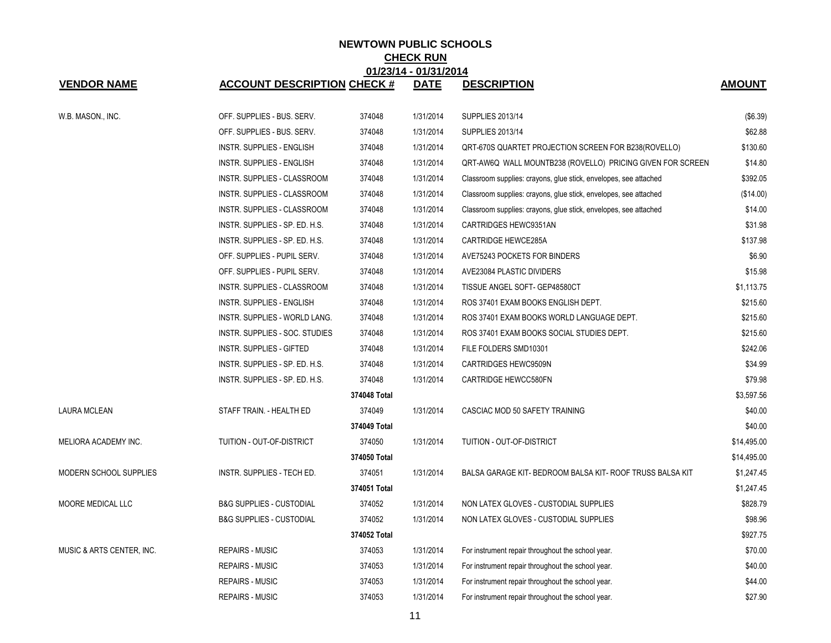| 01/23/14 - 01/31/2014         |                                     |              |             |                                                                  |               |  |  |  |
|-------------------------------|-------------------------------------|--------------|-------------|------------------------------------------------------------------|---------------|--|--|--|
| <b>VENDOR NAME</b>            | <b>ACCOUNT DESCRIPTION CHECK #</b>  |              | <b>DATE</b> | <b>DESCRIPTION</b>                                               | <b>AMOUNT</b> |  |  |  |
| W.B. MASON., INC.             | OFF. SUPPLIES - BUS. SERV.          | 374048       | 1/31/2014   | <b>SUPPLIES 2013/14</b>                                          | (\$6.39)      |  |  |  |
|                               | OFF. SUPPLIES - BUS. SERV.          | 374048       | 1/31/2014   | <b>SUPPLIES 2013/14</b>                                          | \$62.88       |  |  |  |
|                               | <b>INSTR. SUPPLIES - ENGLISH</b>    | 374048       | 1/31/2014   | QRT-670S QUARTET PROJECTION SCREEN FOR B238(ROVELLO)             | \$130.60      |  |  |  |
|                               | <b>INSTR. SUPPLIES - ENGLISH</b>    | 374048       | 1/31/2014   | QRT-AW6Q WALL MOUNTB238 (ROVELLO) PRICING GIVEN FOR SCREEN       | \$14.80       |  |  |  |
|                               | INSTR. SUPPLIES - CLASSROOM         | 374048       | 1/31/2014   | Classroom supplies: crayons, glue stick, envelopes, see attached | \$392.05      |  |  |  |
|                               | INSTR. SUPPLIES - CLASSROOM         | 374048       | 1/31/2014   | Classroom supplies: crayons, glue stick, envelopes, see attached | (\$14.00)     |  |  |  |
|                               | INSTR. SUPPLIES - CLASSROOM         | 374048       | 1/31/2014   | Classroom supplies: crayons, glue stick, envelopes, see attached | \$14.00       |  |  |  |
|                               | INSTR. SUPPLIES - SP. ED. H.S.      | 374048       | 1/31/2014   | CARTRIDGES HEWC9351AN                                            | \$31.98       |  |  |  |
|                               | INSTR. SUPPLIES - SP. ED. H.S.      | 374048       | 1/31/2014   | CARTRIDGE HEWCE285A                                              | \$137.98      |  |  |  |
|                               | OFF. SUPPLIES - PUPIL SERV.         | 374048       | 1/31/2014   | AVE75243 POCKETS FOR BINDERS                                     | \$6.90        |  |  |  |
|                               | OFF. SUPPLIES - PUPIL SERV.         | 374048       | 1/31/2014   | AVE23084 PLASTIC DIVIDERS                                        | \$15.98       |  |  |  |
|                               | INSTR. SUPPLIES - CLASSROOM         | 374048       | 1/31/2014   | TISSUE ANGEL SOFT- GEP48580CT                                    | \$1,113.75    |  |  |  |
|                               | <b>INSTR. SUPPLIES - ENGLISH</b>    | 374048       | 1/31/2014   | ROS 37401 EXAM BOOKS ENGLISH DEPT.                               | \$215.60      |  |  |  |
|                               | INSTR. SUPPLIES - WORLD LANG.       | 374048       | 1/31/2014   | ROS 37401 EXAM BOOKS WORLD LANGUAGE DEPT.                        | \$215.60      |  |  |  |
|                               | INSTR. SUPPLIES - SOC. STUDIES      | 374048       | 1/31/2014   | ROS 37401 EXAM BOOKS SOCIAL STUDIES DEPT.                        | \$215.60      |  |  |  |
|                               | INSTR. SUPPLIES - GIFTED            | 374048       | 1/31/2014   | FILE FOLDERS SMD10301                                            | \$242.06      |  |  |  |
|                               | INSTR. SUPPLIES - SP. ED. H.S.      | 374048       | 1/31/2014   | CARTRIDGES HEWC9509N                                             | \$34.99       |  |  |  |
|                               | INSTR. SUPPLIES - SP. ED. H.S.      | 374048       | 1/31/2014   | CARTRIDGE HEWCC580FN                                             | \$79.98       |  |  |  |
|                               |                                     | 374048 Total |             |                                                                  | \$3,597.56    |  |  |  |
| <b>LAURA MCLEAN</b>           | STAFF TRAIN. - HEALTH ED            | 374049       | 1/31/2014   | CASCIAC MOD 50 SAFETY TRAINING                                   | \$40.00       |  |  |  |
|                               |                                     | 374049 Total |             |                                                                  | \$40.00       |  |  |  |
| MELIORA ACADEMY INC.          | TUITION - OUT-OF-DISTRICT           | 374050       | 1/31/2014   | TUITION - OUT-OF-DISTRICT                                        | \$14,495.00   |  |  |  |
|                               |                                     | 374050 Total |             |                                                                  | \$14,495.00   |  |  |  |
| <b>MODERN SCHOOL SUPPLIES</b> | INSTR. SUPPLIES - TECH ED.          | 374051       | 1/31/2014   | BALSA GARAGE KIT- BEDROOM BALSA KIT- ROOF TRUSS BALSA KIT        | \$1,247.45    |  |  |  |
|                               |                                     | 374051 Total |             |                                                                  | \$1,247.45    |  |  |  |
| MOORE MEDICAL LLC             | <b>B&amp;G SUPPLIES - CUSTODIAL</b> | 374052       | 1/31/2014   | NON LATEX GLOVES - CUSTODIAL SUPPLIES                            | \$828.79      |  |  |  |
|                               | <b>B&amp;G SUPPLIES - CUSTODIAL</b> | 374052       | 1/31/2014   | NON LATEX GLOVES - CUSTODIAL SUPPLIES                            | \$98.96       |  |  |  |
|                               |                                     | 374052 Total |             |                                                                  | \$927.75      |  |  |  |
| MUSIC & ARTS CENTER, INC.     | <b>REPAIRS - MUSIC</b>              | 374053       | 1/31/2014   | For instrument repair throughout the school year.                | \$70.00       |  |  |  |
|                               | <b>REPAIRS - MUSIC</b>              | 374053       | 1/31/2014   | For instrument repair throughout the school year.                | \$40.00       |  |  |  |
|                               | <b>REPAIRS - MUSIC</b>              | 374053       | 1/31/2014   | For instrument repair throughout the school year.                | \$44.00       |  |  |  |
|                               | <b>REPAIRS - MUSIC</b>              | 374053       | 1/31/2014   | For instrument repair throughout the school year.                | \$27.90       |  |  |  |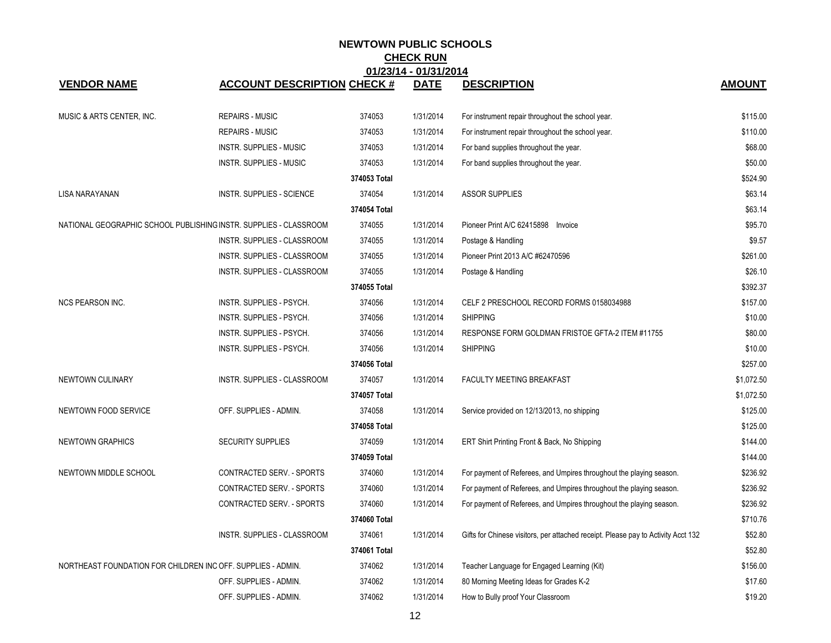| 01/23/14 - 01/31/2014                                        |                                                                   |              |             |                                                                                   |               |  |
|--------------------------------------------------------------|-------------------------------------------------------------------|--------------|-------------|-----------------------------------------------------------------------------------|---------------|--|
| <b>VENDOR NAME</b>                                           | <b>ACCOUNT DESCRIPTION CHECK #</b>                                |              | <b>DATE</b> | <b>DESCRIPTION</b>                                                                | <b>AMOUNT</b> |  |
|                                                              |                                                                   |              |             |                                                                                   |               |  |
| MUSIC & ARTS CENTER, INC.                                    | <b>REPAIRS - MUSIC</b>                                            | 374053       | 1/31/2014   | For instrument repair throughout the school year.                                 | \$115.00      |  |
|                                                              | <b>REPAIRS - MUSIC</b>                                            | 374053       | 1/31/2014   | For instrument repair throughout the school year.                                 | \$110.00      |  |
|                                                              | <b>INSTR. SUPPLIES - MUSIC</b>                                    | 374053       | 1/31/2014   | For band supplies throughout the year.                                            | \$68.00       |  |
|                                                              | <b>INSTR. SUPPLIES - MUSIC</b>                                    | 374053       | 1/31/2014   | For band supplies throughout the year.                                            | \$50.00       |  |
|                                                              |                                                                   | 374053 Total |             |                                                                                   | \$524.90      |  |
| LISA NARAYANAN                                               | <b>INSTR. SUPPLIES - SCIENCE</b>                                  | 374054       | 1/31/2014   | <b>ASSOR SUPPLIES</b>                                                             | \$63.14       |  |
|                                                              |                                                                   | 374054 Total |             |                                                                                   | \$63.14       |  |
|                                                              | NATIONAL GEOGRAPHIC SCHOOL PUBLISHING INSTR. SUPPLIES - CLASSROOM | 374055       | 1/31/2014   | Pioneer Print A/C 62415898 Invoice                                                | \$95.70       |  |
|                                                              | INSTR. SUPPLIES - CLASSROOM                                       | 374055       | 1/31/2014   | Postage & Handling                                                                | \$9.57        |  |
|                                                              | INSTR. SUPPLIES - CLASSROOM                                       | 374055       | 1/31/2014   | Pioneer Print 2013 A/C #62470596                                                  | \$261.00      |  |
|                                                              | INSTR. SUPPLIES - CLASSROOM                                       | 374055       | 1/31/2014   | Postage & Handling                                                                | \$26.10       |  |
|                                                              |                                                                   | 374055 Total |             |                                                                                   | \$392.37      |  |
| <b>NCS PEARSON INC.</b>                                      | INSTR. SUPPLIES - PSYCH.                                          | 374056       | 1/31/2014   | CELF 2 PRESCHOOL RECORD FORMS 0158034988                                          | \$157.00      |  |
|                                                              | INSTR. SUPPLIES - PSYCH.                                          | 374056       | 1/31/2014   | <b>SHIPPING</b>                                                                   | \$10.00       |  |
|                                                              | INSTR. SUPPLIES - PSYCH.                                          | 374056       | 1/31/2014   | RESPONSE FORM GOLDMAN FRISTOE GFTA-2 ITEM #11755                                  | \$80.00       |  |
|                                                              | INSTR. SUPPLIES - PSYCH.                                          | 374056       | 1/31/2014   | <b>SHIPPING</b>                                                                   | \$10.00       |  |
|                                                              |                                                                   | 374056 Total |             |                                                                                   | \$257.00      |  |
| NEWTOWN CULINARY                                             | INSTR. SUPPLIES - CLASSROOM                                       | 374057       | 1/31/2014   | FACULTY MEETING BREAKFAST                                                         | \$1,072.50    |  |
|                                                              |                                                                   | 374057 Total |             |                                                                                   | \$1,072.50    |  |
| NEWTOWN FOOD SERVICE                                         | OFF. SUPPLIES - ADMIN.                                            | 374058       | 1/31/2014   | Service provided on 12/13/2013, no shipping                                       | \$125.00      |  |
|                                                              |                                                                   | 374058 Total |             |                                                                                   | \$125.00      |  |
| <b>NEWTOWN GRAPHICS</b>                                      | <b>SECURITY SUPPLIES</b>                                          | 374059       | 1/31/2014   | ERT Shirt Printing Front & Back, No Shipping                                      | \$144.00      |  |
|                                                              |                                                                   | 374059 Total |             |                                                                                   | \$144.00      |  |
| NEWTOWN MIDDLE SCHOOL                                        | CONTRACTED SERV. - SPORTS                                         | 374060       | 1/31/2014   | For payment of Referees, and Umpires throughout the playing season.               | \$236.92      |  |
|                                                              | CONTRACTED SERV. - SPORTS                                         | 374060       | 1/31/2014   | For payment of Referees, and Umpires throughout the playing season.               | \$236.92      |  |
|                                                              | CONTRACTED SERV. - SPORTS                                         | 374060       | 1/31/2014   | For payment of Referees, and Umpires throughout the playing season.               | \$236.92      |  |
|                                                              |                                                                   | 374060 Total |             |                                                                                   | \$710.76      |  |
|                                                              | INSTR. SUPPLIES - CLASSROOM                                       | 374061       | 1/31/2014   | Gifts for Chinese visitors, per attached receipt. Please pay to Activity Acct 132 | \$52.80       |  |
|                                                              |                                                                   | 374061 Total |             |                                                                                   | \$52.80       |  |
| NORTHEAST FOUNDATION FOR CHILDREN INC OFF. SUPPLIES - ADMIN. |                                                                   | 374062       | 1/31/2014   | Teacher Language for Engaged Learning (Kit)                                       | \$156.00      |  |
|                                                              | OFF. SUPPLIES - ADMIN.                                            | 374062       | 1/31/2014   | 80 Morning Meeting Ideas for Grades K-2                                           | \$17.60       |  |
|                                                              | OFF. SUPPLIES - ADMIN.                                            | 374062       | 1/31/2014   | How to Bully proof Your Classroom                                                 | \$19.20       |  |
|                                                              |                                                                   |              |             |                                                                                   |               |  |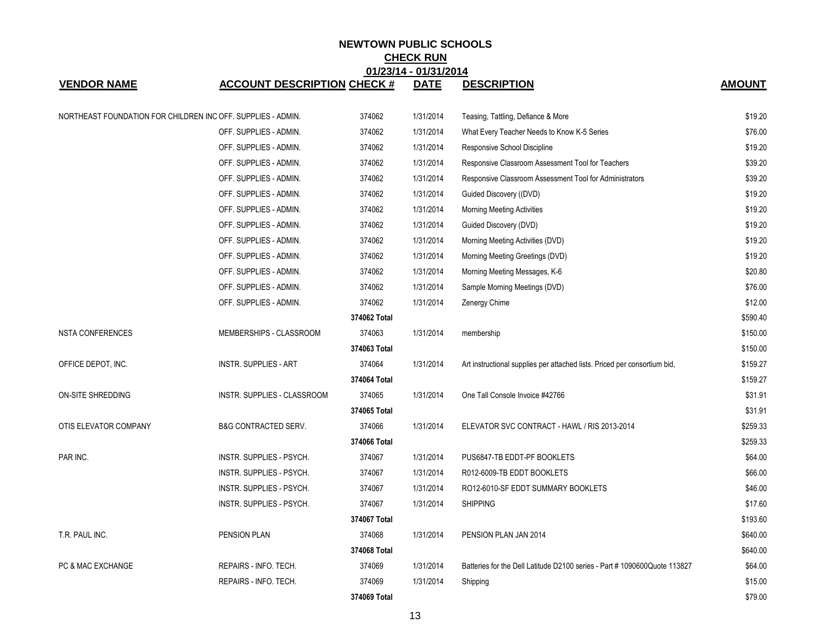| 01/23/14 - 01/31/2014                                        |                                    |              |             |                                                                           |               |
|--------------------------------------------------------------|------------------------------------|--------------|-------------|---------------------------------------------------------------------------|---------------|
| <b>VENDOR NAME</b>                                           | <b>ACCOUNT DESCRIPTION CHECK #</b> |              | <b>DATE</b> | <b>DESCRIPTION</b>                                                        | <b>AMOUNT</b> |
| NORTHEAST FOUNDATION FOR CHILDREN INC OFF. SUPPLIES - ADMIN. |                                    | 374062       | 1/31/2014   | Teasing, Tattling, Defiance & More                                        | \$19.20       |
|                                                              | OFF. SUPPLIES - ADMIN.             | 374062       | 1/31/2014   | What Every Teacher Needs to Know K-5 Series                               | \$76.00       |
|                                                              | OFF. SUPPLIES - ADMIN.             | 374062       | 1/31/2014   | Responsive School Discipline                                              | \$19.20       |
|                                                              | OFF. SUPPLIES - ADMIN.             | 374062       | 1/31/2014   | Responsive Classroom Assessment Tool for Teachers                         | \$39.20       |
|                                                              | OFF. SUPPLIES - ADMIN.             | 374062       | 1/31/2014   | Responsive Classroom Assessment Tool for Administrators                   | \$39.20       |
|                                                              | OFF. SUPPLIES - ADMIN.             | 374062       | 1/31/2014   | Guided Discovery ((DVD)                                                   | \$19.20       |
|                                                              | OFF. SUPPLIES - ADMIN.             | 374062       | 1/31/2014   | <b>Morning Meeting Activities</b>                                         | \$19.20       |
|                                                              | OFF. SUPPLIES - ADMIN.             | 374062       | 1/31/2014   | Guided Discovery (DVD)                                                    | \$19.20       |
|                                                              | OFF. SUPPLIES - ADMIN.             | 374062       | 1/31/2014   | Morning Meeting Activities (DVD)                                          | \$19.20       |
|                                                              | OFF. SUPPLIES - ADMIN.             | 374062       | 1/31/2014   | Morning Meeting Greetings (DVD)                                           | \$19.20       |
|                                                              | OFF. SUPPLIES - ADMIN.             | 374062       | 1/31/2014   | Morning Meeting Messages, K-6                                             | \$20.80       |
|                                                              | OFF. SUPPLIES - ADMIN.             | 374062       | 1/31/2014   | Sample Morning Meetings (DVD)                                             | \$76.00       |
|                                                              | OFF. SUPPLIES - ADMIN.             | 374062       | 1/31/2014   | Zenergy Chime                                                             | \$12.00       |
|                                                              |                                    | 374062 Total |             |                                                                           | \$590.40      |
| <b>NSTA CONFERENCES</b>                                      | MEMBERSHIPS - CLASSROOM            | 374063       | 1/31/2014   | membership                                                                | \$150.00      |
|                                                              |                                    | 374063 Total |             |                                                                           | \$150.00      |
| OFFICE DEPOT, INC.                                           | <b>INSTR. SUPPLIES - ART</b>       | 374064       | 1/31/2014   | Art instructional supplies per attached lists. Priced per consortium bid, | \$159.27      |
|                                                              |                                    | 374064 Total |             |                                                                           | \$159.27      |
| ON-SITE SHREDDING                                            | INSTR. SUPPLIES - CLASSROOM        | 374065       | 1/31/2014   | One Tall Console Invoice #42766                                           | \$31.91       |
|                                                              |                                    | 374065 Total |             |                                                                           | \$31.91       |
| OTIS ELEVATOR COMPANY                                        | <b>B&amp;G CONTRACTED SERV.</b>    | 374066       | 1/31/2014   | ELEVATOR SVC CONTRACT - HAWL / RIS 2013-2014                              | \$259.33      |
|                                                              |                                    | 374066 Total |             |                                                                           | \$259.33      |
| PAR INC.                                                     | INSTR. SUPPLIES - PSYCH.           | 374067       | 1/31/2014   | PUS6847-TB EDDT-PF BOOKLETS                                               | \$64.00       |
|                                                              | INSTR. SUPPLIES - PSYCH.           | 374067       | 1/31/2014   | R012-6009-TB EDDT BOOKLETS                                                | \$66.00       |
|                                                              | INSTR. SUPPLIES - PSYCH.           | 374067       | 1/31/2014   | RO12-6010-SF EDDT SUMMARY BOOKLETS                                        | \$46.00       |
|                                                              | INSTR. SUPPLIES - PSYCH.           | 374067       | 1/31/2014   | <b>SHIPPING</b>                                                           | \$17.60       |
|                                                              |                                    | 374067 Total |             |                                                                           | \$193.60      |
| T.R. PAUL INC.                                               | PENSION PLAN                       | 374068       | 1/31/2014   | PENSION PLAN JAN 2014                                                     | \$640.00      |
|                                                              |                                    | 374068 Total |             |                                                                           | \$640.00      |
| PC & MAC EXCHANGE                                            | REPAIRS - INFO. TECH.              | 374069       | 1/31/2014   | Batteries for the Dell Latitude D2100 series - Part #1090600Quote 113827  | \$64.00       |
|                                                              | REPAIRS - INFO. TECH.              | 374069       | 1/31/2014   | Shipping                                                                  | \$15.00       |
|                                                              |                                    | 374069 Total |             |                                                                           | \$79.00       |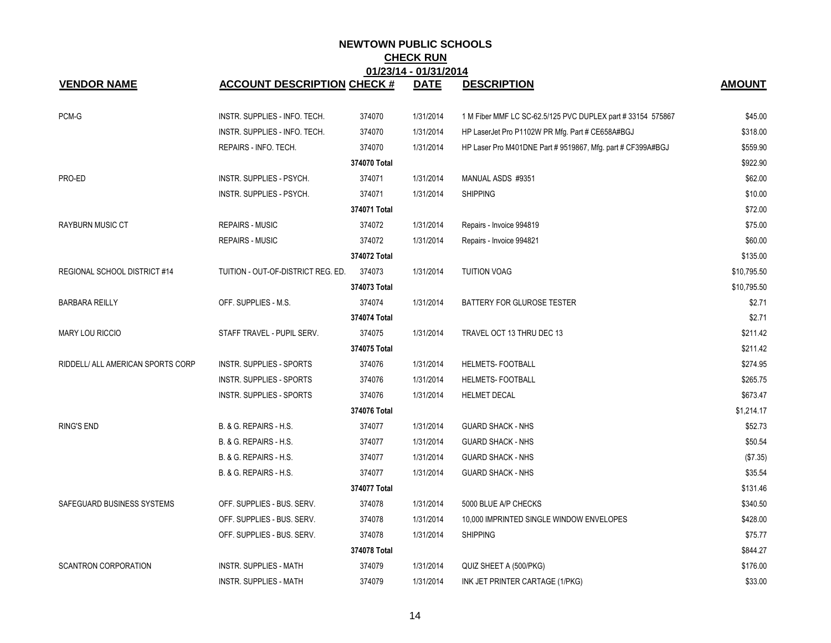| 01/23/14 - 01/31/2014             |                                    |              |             |                                                             |               |  |  |
|-----------------------------------|------------------------------------|--------------|-------------|-------------------------------------------------------------|---------------|--|--|
| <b>VENDOR NAME</b>                | <b>ACCOUNT DESCRIPTION CHECK #</b> |              | <b>DATE</b> | <b>DESCRIPTION</b>                                          | <b>AMOUNT</b> |  |  |
| PCM-G                             | INSTR. SUPPLIES - INFO. TECH.      | 374070       | 1/31/2014   | 1 M Fiber MMF LC SC-62.5/125 PVC DUPLEX part # 33154 575867 | \$45.00       |  |  |
|                                   | INSTR. SUPPLIES - INFO. TECH.      | 374070       | 1/31/2014   | HP LaserJet Pro P1102W PR Mfg. Part # CE658A#BGJ            | \$318.00      |  |  |
|                                   | REPAIRS - INFO. TECH.              | 374070       | 1/31/2014   | HP Laser Pro M401DNE Part # 9519867, Mfg. part # CF399A#BGJ | \$559.90      |  |  |
|                                   |                                    | 374070 Total |             |                                                             | \$922.90      |  |  |
| PRO-ED                            | INSTR. SUPPLIES - PSYCH.           | 374071       | 1/31/2014   | MANUAL ASDS #9351                                           | \$62.00       |  |  |
|                                   | INSTR. SUPPLIES - PSYCH.           | 374071       | 1/31/2014   | <b>SHIPPING</b>                                             | \$10.00       |  |  |
|                                   |                                    | 374071 Total |             |                                                             | \$72.00       |  |  |
| <b>RAYBURN MUSIC CT</b>           | <b>REPAIRS - MUSIC</b>             | 374072       | 1/31/2014   | Repairs - Invoice 994819                                    | \$75.00       |  |  |
|                                   | <b>REPAIRS - MUSIC</b>             | 374072       | 1/31/2014   | Repairs - Invoice 994821                                    | \$60.00       |  |  |
|                                   |                                    | 374072 Total |             |                                                             | \$135.00      |  |  |
| REGIONAL SCHOOL DISTRICT #14      | TUITION - OUT-OF-DISTRICT REG. ED. | 374073       | 1/31/2014   | <b>TUITION VOAG</b>                                         | \$10,795.50   |  |  |
|                                   |                                    | 374073 Total |             |                                                             | \$10,795.50   |  |  |
| <b>BARBARA REILLY</b>             | OFF. SUPPLIES - M.S.               | 374074       | 1/31/2014   | <b>BATTERY FOR GLUROSE TESTER</b>                           | \$2.71        |  |  |
|                                   |                                    | 374074 Total |             |                                                             | \$2.71        |  |  |
| <b>MARY LOU RICCIO</b>            | STAFF TRAVEL - PUPIL SERV.         | 374075       | 1/31/2014   | TRAVEL OCT 13 THRU DEC 13                                   | \$211.42      |  |  |
|                                   |                                    | 374075 Total |             |                                                             | \$211.42      |  |  |
| RIDDELL/ ALL AMERICAN SPORTS CORP | INSTR. SUPPLIES - SPORTS           | 374076       | 1/31/2014   | HELMETS- FOOTBALL                                           | \$274.95      |  |  |
|                                   | INSTR. SUPPLIES - SPORTS           | 374076       | 1/31/2014   | HELMETS- FOOTBALL                                           | \$265.75      |  |  |
|                                   | INSTR. SUPPLIES - SPORTS           | 374076       | 1/31/2014   | <b>HELMET DECAL</b>                                         | \$673.47      |  |  |
|                                   |                                    | 374076 Total |             |                                                             | \$1,214.17    |  |  |
| <b>RING'S END</b>                 | B. & G. REPAIRS - H.S.             | 374077       | 1/31/2014   | <b>GUARD SHACK - NHS</b>                                    | \$52.73       |  |  |
|                                   | B. & G. REPAIRS - H.S.             | 374077       | 1/31/2014   | <b>GUARD SHACK - NHS</b>                                    | \$50.54       |  |  |
|                                   | B. & G. REPAIRS - H.S.             | 374077       | 1/31/2014   | <b>GUARD SHACK - NHS</b>                                    | (\$7.35)      |  |  |
|                                   | B. & G. REPAIRS - H.S.             | 374077       | 1/31/2014   | <b>GUARD SHACK - NHS</b>                                    | \$35.54       |  |  |
|                                   |                                    | 374077 Total |             |                                                             | \$131.46      |  |  |
| SAFEGUARD BUSINESS SYSTEMS        | OFF. SUPPLIES - BUS. SERV.         | 374078       | 1/31/2014   | 5000 BLUE A/P CHECKS                                        | \$340.50      |  |  |
|                                   | OFF. SUPPLIES - BUS. SERV.         | 374078       | 1/31/2014   | 10,000 IMPRINTED SINGLE WINDOW ENVELOPES                    | \$428.00      |  |  |
|                                   | OFF. SUPPLIES - BUS. SERV.         | 374078       | 1/31/2014   | <b>SHIPPING</b>                                             | \$75.77       |  |  |
|                                   |                                    | 374078 Total |             |                                                             | \$844.27      |  |  |
| <b>SCANTRON CORPORATION</b>       | <b>INSTR. SUPPLIES - MATH</b>      | 374079       | 1/31/2014   | QUIZ SHEET A (500/PKG)                                      | \$176.00      |  |  |
|                                   | <b>INSTR. SUPPLIES - MATH</b>      | 374079       | 1/31/2014   | INK JET PRINTER CARTAGE (1/PKG)                             | \$33.00       |  |  |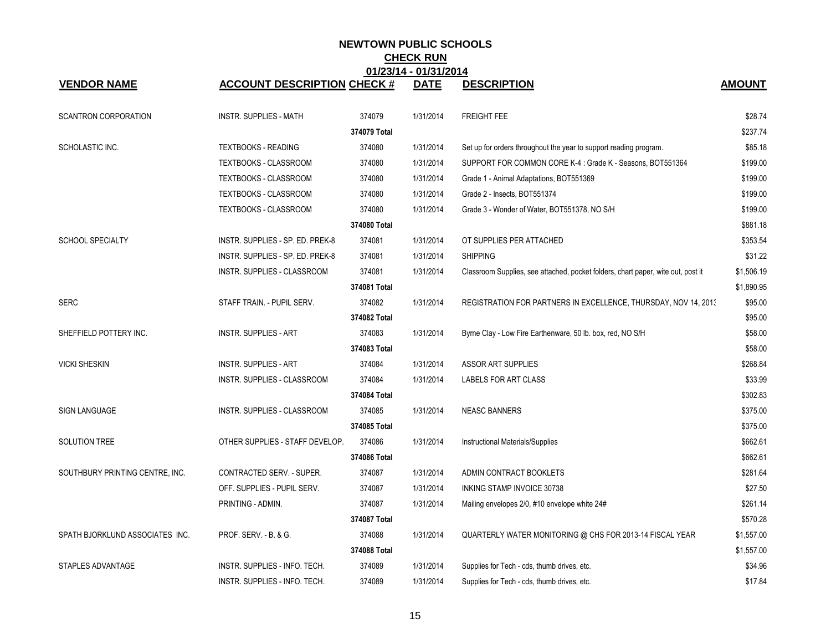|                                 |                                    |              | <b>VIIVAILL</b> |                                                                                  |               |
|---------------------------------|------------------------------------|--------------|-----------------|----------------------------------------------------------------------------------|---------------|
| <b>VENDOR NAME</b>              | <b>ACCOUNT DESCRIPTION CHECK #</b> |              | <b>DATE</b>     | <b>DESCRIPTION</b>                                                               | <b>AMOUNT</b> |
| <b>SCANTRON CORPORATION</b>     | <b>INSTR. SUPPLIES - MATH</b>      | 374079       | 1/31/2014       | <b>FREIGHT FEE</b>                                                               | \$28.74       |
|                                 |                                    | 374079 Total |                 |                                                                                  | \$237.74      |
| SCHOLASTIC INC.                 | <b>TEXTBOOKS - READING</b>         | 374080       | 1/31/2014       | Set up for orders throughout the year to support reading program.                | \$85.18       |
|                                 | TEXTBOOKS - CLASSROOM              | 374080       | 1/31/2014       | SUPPORT FOR COMMON CORE K-4 : Grade K - Seasons, BOT551364                       | \$199.00      |
|                                 | <b>TEXTBOOKS - CLASSROOM</b>       | 374080       | 1/31/2014       | Grade 1 - Animal Adaptations, BOT551369                                          | \$199.00      |
|                                 | TEXTBOOKS - CLASSROOM              | 374080       | 1/31/2014       | Grade 2 - Insects, BOT551374                                                     | \$199.00      |
|                                 | TEXTBOOKS - CLASSROOM              | 374080       | 1/31/2014       | Grade 3 - Wonder of Water, BOT551378, NO S/H                                     | \$199.00      |
|                                 |                                    | 374080 Total |                 |                                                                                  | \$881.18      |
| <b>SCHOOL SPECIALTY</b>         | INSTR. SUPPLIES - SP. ED. PREK-8   | 374081       | 1/31/2014       | OT SUPPLIES PER ATTACHED                                                         | \$353.54      |
|                                 | INSTR. SUPPLIES - SP. ED. PREK-8   | 374081       | 1/31/2014       | <b>SHIPPING</b>                                                                  | \$31.22       |
|                                 | INSTR. SUPPLIES - CLASSROOM        | 374081       | 1/31/2014       | Classroom Supplies, see attached, pocket folders, chart paper, wite out, post it | \$1,506.19    |
|                                 |                                    | 374081 Total |                 |                                                                                  | \$1,890.95    |
| <b>SERC</b>                     | STAFF TRAIN. - PUPIL SERV.         | 374082       | 1/31/2014       | REGISTRATION FOR PARTNERS IN EXCELLENCE, THURSDAY, NOV 14, 2013                  | \$95.00       |
|                                 |                                    | 374082 Total |                 |                                                                                  | \$95.00       |
| SHEFFIELD POTTERY INC.          | <b>INSTR. SUPPLIES - ART</b>       | 374083       | 1/31/2014       | Byrne Clay - Low Fire Earthenware, 50 lb. box, red, NO S/H                       | \$58.00       |
|                                 |                                    | 374083 Total |                 |                                                                                  | \$58.00       |
| <b>VICKI SHESKIN</b>            | <b>INSTR. SUPPLIES - ART</b>       | 374084       | 1/31/2014       | <b>ASSOR ART SUPPLIES</b>                                                        | \$268.84      |
|                                 | INSTR. SUPPLIES - CLASSROOM        | 374084       | 1/31/2014       | LABELS FOR ART CLASS                                                             | \$33.99       |
|                                 |                                    | 374084 Total |                 |                                                                                  | \$302.83      |
| <b>SIGN LANGUAGE</b>            | INSTR. SUPPLIES - CLASSROOM        | 374085       | 1/31/2014       | <b>NEASC BANNERS</b>                                                             | \$375.00      |
|                                 |                                    | 374085 Total |                 |                                                                                  | \$375.00      |
| SOLUTION TREE                   | OTHER SUPPLIES - STAFF DEVELOP.    | 374086       | 1/31/2014       | Instructional Materials/Supplies                                                 | \$662.61      |
|                                 |                                    | 374086 Total |                 |                                                                                  | \$662.61      |
| SOUTHBURY PRINTING CENTRE, INC. | CONTRACTED SERV. - SUPER.          | 374087       | 1/31/2014       | ADMIN CONTRACT BOOKLETS                                                          | \$281.64      |
|                                 | OFF. SUPPLIES - PUPIL SERV.        | 374087       | 1/31/2014       | INKING STAMP INVOICE 30738                                                       | \$27.50       |
|                                 | PRINTING - ADMIN.                  | 374087       | 1/31/2014       | Mailing envelopes 2/0, #10 envelope white 24#                                    | \$261.14      |
|                                 |                                    | 374087 Total |                 |                                                                                  | \$570.28      |
| SPATH BJORKLUND ASSOCIATES INC. | PROF. SERV. - B. & G.              | 374088       | 1/31/2014       | QUARTERLY WATER MONITORING @ CHS FOR 2013-14 FISCAL YEAR                         | \$1,557.00    |
|                                 |                                    | 374088 Total |                 |                                                                                  | \$1,557.00    |
| STAPLES ADVANTAGE               | INSTR. SUPPLIES - INFO. TECH.      | 374089       | 1/31/2014       | Supplies for Tech - cds, thumb drives, etc.                                      | \$34.96       |
|                                 | INSTR. SUPPLIES - INFO. TECH.      | 374089       | 1/31/2014       | Supplies for Tech - cds, thumb drives, etc.                                      | \$17.84       |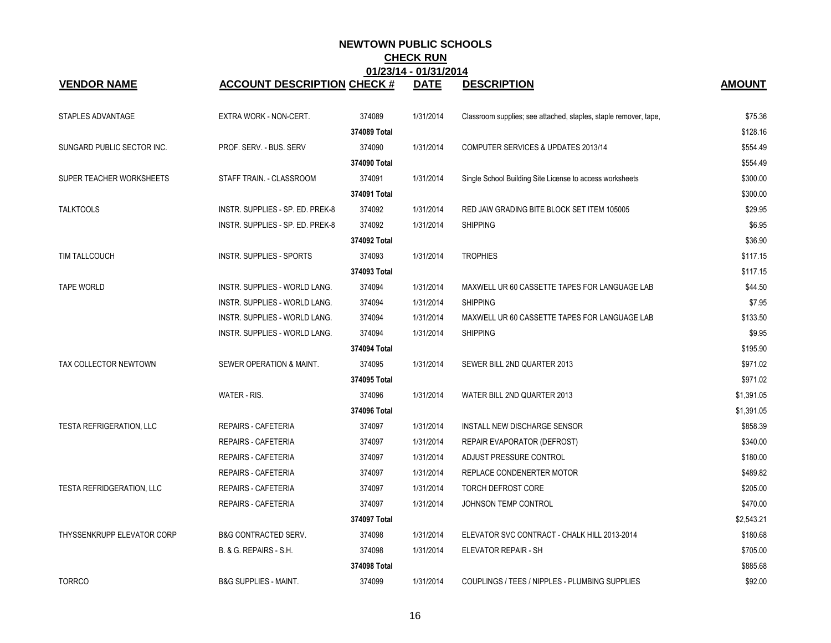| <b>VENDOR NAME</b>              | <b>ACCOUNT DESCRIPTION CHECK #</b> |              | <u> 71231 - 1131120 1</u><br><b>DATE</b> | <b>DESCRIPTION</b>                                               | <b>AMOUNT</b> |
|---------------------------------|------------------------------------|--------------|------------------------------------------|------------------------------------------------------------------|---------------|
|                                 |                                    |              |                                          |                                                                  |               |
| STAPLES ADVANTAGE               | EXTRA WORK - NON-CERT.             | 374089       | 1/31/2014                                | Classroom supplies; see attached, staples, staple remover, tape, | \$75.36       |
|                                 |                                    | 374089 Total |                                          |                                                                  | \$128.16      |
| SUNGARD PUBLIC SECTOR INC.      | PROF. SERV. - BUS. SERV            | 374090       | 1/31/2014                                | COMPUTER SERVICES & UPDATES 2013/14                              | \$554.49      |
|                                 |                                    | 374090 Total |                                          |                                                                  | \$554.49      |
| SUPER TEACHER WORKSHEETS        | STAFF TRAIN. - CLASSROOM           | 374091       | 1/31/2014                                | Single School Building Site License to access worksheets         | \$300.00      |
|                                 |                                    | 374091 Total |                                          |                                                                  | \$300.00      |
| <b>TALKTOOLS</b>                | INSTR. SUPPLIES - SP. ED. PREK-8   | 374092       | 1/31/2014                                | RED JAW GRADING BITE BLOCK SET ITEM 105005                       | \$29.95       |
|                                 | INSTR. SUPPLIES - SP. ED. PREK-8   | 374092       | 1/31/2014                                | <b>SHIPPING</b>                                                  | \$6.95        |
|                                 |                                    | 374092 Total |                                          |                                                                  | \$36.90       |
| TIM TALLCOUCH                   | INSTR. SUPPLIES - SPORTS           | 374093       | 1/31/2014                                | <b>TROPHIES</b>                                                  | \$117.15      |
|                                 |                                    | 374093 Total |                                          |                                                                  | \$117.15      |
| <b>TAPE WORLD</b>               | INSTR. SUPPLIES - WORLD LANG.      | 374094       | 1/31/2014                                | MAXWELL UR 60 CASSETTE TAPES FOR LANGUAGE LAB                    | \$44.50       |
|                                 | INSTR. SUPPLIES - WORLD LANG.      | 374094       | 1/31/2014                                | <b>SHIPPING</b>                                                  | \$7.95        |
|                                 | INSTR. SUPPLIES - WORLD LANG.      | 374094       | 1/31/2014                                | MAXWELL UR 60 CASSETTE TAPES FOR LANGUAGE LAB                    | \$133.50      |
|                                 | INSTR. SUPPLIES - WORLD LANG.      | 374094       | 1/31/2014                                | <b>SHIPPING</b>                                                  | \$9.95        |
|                                 |                                    | 374094 Total |                                          |                                                                  | \$195.90      |
| TAX COLLECTOR NEWTOWN           | SEWER OPERATION & MAINT.           | 374095       | 1/31/2014                                | SEWER BILL 2ND QUARTER 2013                                      | \$971.02      |
|                                 |                                    | 374095 Total |                                          |                                                                  | \$971.02      |
|                                 | WATER - RIS.                       | 374096       | 1/31/2014                                | WATER BILL 2ND QUARTER 2013                                      | \$1,391.05    |
|                                 |                                    | 374096 Total |                                          |                                                                  | \$1,391.05    |
| <b>TESTA REFRIGERATION, LLC</b> | <b>REPAIRS - CAFETERIA</b>         | 374097       | 1/31/2014                                | INSTALL NEW DISCHARGE SENSOR                                     | \$858.39      |
|                                 | REPAIRS - CAFETERIA                | 374097       | 1/31/2014                                | REPAIR EVAPORATOR (DEFROST)                                      | \$340.00      |
|                                 | <b>REPAIRS - CAFETERIA</b>         | 374097       | 1/31/2014                                | ADJUST PRESSURE CONTROL                                          | \$180.00      |
|                                 | REPAIRS - CAFETERIA                | 374097       | 1/31/2014                                | REPLACE CONDENERTER MOTOR                                        | \$489.82      |
| TESTA REFRIDGERATION, LLC       | REPAIRS - CAFETERIA                | 374097       | 1/31/2014                                | TORCH DEFROST CORE                                               | \$205.00      |
|                                 | REPAIRS - CAFETERIA                | 374097       | 1/31/2014                                | JOHNSON TEMP CONTROL                                             | \$470.00      |
|                                 |                                    | 374097 Total |                                          |                                                                  | \$2,543.21    |
| THYSSENKRUPP ELEVATOR CORP      | <b>B&amp;G CONTRACTED SERV.</b>    | 374098       | 1/31/2014                                | ELEVATOR SVC CONTRACT - CHALK HILL 2013-2014                     | \$180.68      |
|                                 | B. & G. REPAIRS - S.H.             | 374098       | 1/31/2014                                | ELEVATOR REPAIR - SH                                             | \$705.00      |
|                                 |                                    | 374098 Total |                                          |                                                                  | \$885.68      |
| <b>TORRCO</b>                   | <b>B&amp;G SUPPLIES - MAINT.</b>   | 374099       | 1/31/2014                                | COUPLINGS / TEES / NIPPLES - PLUMBING SUPPLIES                   | \$92.00       |